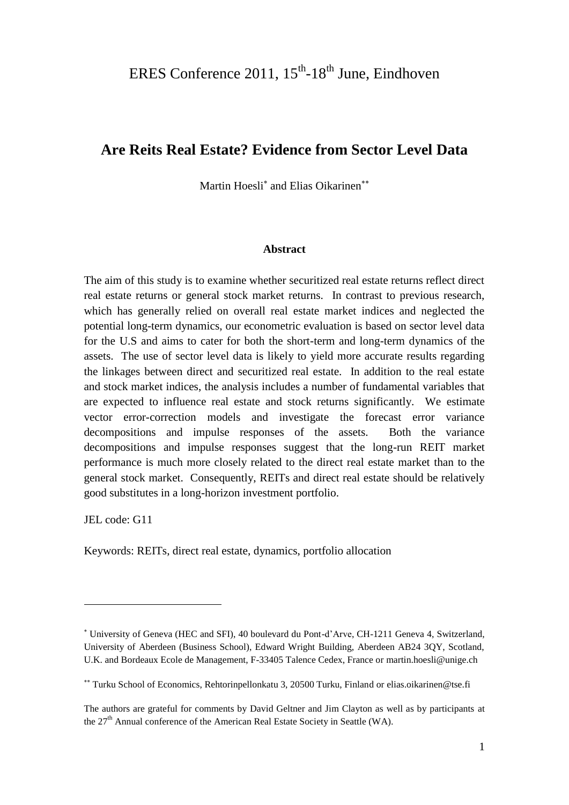# **Are Reits Real Estate? Evidence from Sector Level Data**

Martin Hoesli<sup>\*</sup> and Elias Oikarinen<sup>\*\*</sup>

#### **Abstract**

The aim of this study is to examine whether securitized real estate returns reflect direct real estate returns or general stock market returns. In contrast to previous research, which has generally relied on overall real estate market indices and neglected the potential long-term dynamics, our econometric evaluation is based on sector level data for the U.S and aims to cater for both the short-term and long-term dynamics of the assets. The use of sector level data is likely to yield more accurate results regarding the linkages between direct and securitized real estate. In addition to the real estate and stock market indices, the analysis includes a number of fundamental variables that are expected to influence real estate and stock returns significantly. We estimate vector error-correction models and investigate the forecast error variance decompositions and impulse responses of the assets. Both the variance decompositions and impulse responses suggest that the long-run REIT market performance is much more closely related to the direct real estate market than to the general stock market. Consequently, REITs and direct real estate should be relatively good substitutes in a long-horizon investment portfolio.

JEL code: G11

 $\overline{a}$ 

Keywords: REITs, direct real estate, dynamics, portfolio allocation

University of Geneva (HEC and SFI), 40 boulevard du Pont-d'Arve, CH-1211 Geneva 4, Switzerland, University of Aberdeen (Business School), Edward Wright Building, Aberdeen AB24 3QY, Scotland, U.K. and Bordeaux Ecole de Management, F-33405 Talence Cedex, France or [martin.hoesli@unige.ch](mailto:martin.hoesli@unige.ch)

Turku School of Economics, Rehtorinpellonkatu 3, 20500 Turku, Finland or [elias.oikarinen@tse.fi](mailto:elias.oikarinen@tse.fi)

The authors are grateful for comments by David Geltner and Jim Clayton as well as by participants at the  $27<sup>th</sup>$  Annual conference of the American Real Estate Society in Seattle (WA).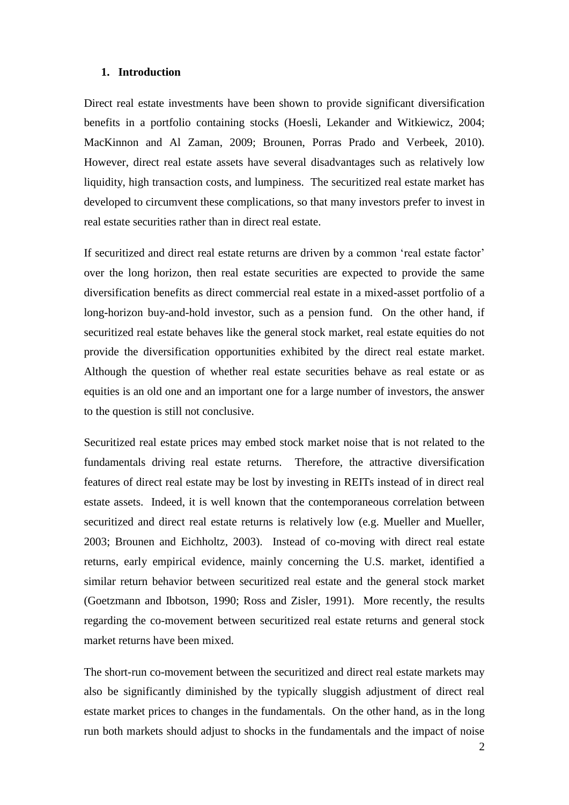#### **1. Introduction**

Direct real estate investments have been shown to provide significant diversification benefits in a portfolio containing stocks (Hoesli, Lekander and Witkiewicz, 2004; MacKinnon and Al Zaman, 2009; Brounen, Porras Prado and Verbeek, 2010). However, direct real estate assets have several disadvantages such as relatively low liquidity, high transaction costs, and lumpiness. The securitized real estate market has developed to circumvent these complications, so that many investors prefer to invest in real estate securities rather than in direct real estate.

If securitized and direct real estate returns are driven by a common 'real estate factor' over the long horizon, then real estate securities are expected to provide the same diversification benefits as direct commercial real estate in a mixed-asset portfolio of a long-horizon buy-and-hold investor, such as a pension fund. On the other hand, if securitized real estate behaves like the general stock market, real estate equities do not provide the diversification opportunities exhibited by the direct real estate market. Although the question of whether real estate securities behave as real estate or as equities is an old one and an important one for a large number of investors, the answer to the question is still not conclusive.

Securitized real estate prices may embed stock market noise that is not related to the fundamentals driving real estate returns. Therefore, the attractive diversification features of direct real estate may be lost by investing in REITs instead of in direct real estate assets. Indeed, it is well known that the contemporaneous correlation between securitized and direct real estate returns is relatively low (e.g. Mueller and Mueller, 2003; Brounen and Eichholtz, 2003). Instead of co-moving with direct real estate returns, early empirical evidence, mainly concerning the U.S. market, identified a similar return behavior between securitized real estate and the general stock market (Goetzmann and Ibbotson, 1990; Ross and Zisler, 1991). More recently, the results regarding the co-movement between securitized real estate returns and general stock market returns have been mixed.

The short-run co-movement between the securitized and direct real estate markets may also be significantly diminished by the typically sluggish adjustment of direct real estate market prices to changes in the fundamentals. On the other hand, as in the long run both markets should adjust to shocks in the fundamentals and the impact of noise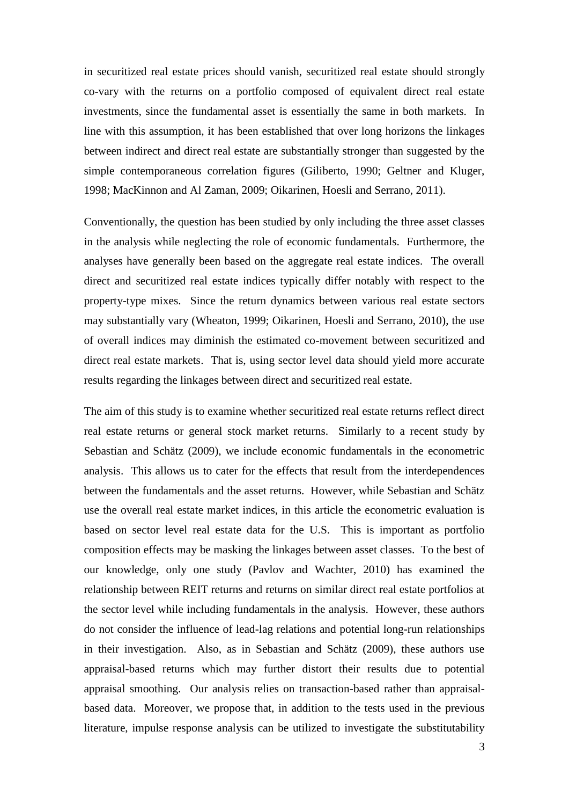in securitized real estate prices should vanish, securitized real estate should strongly co-vary with the returns on a portfolio composed of equivalent direct real estate investments, since the fundamental asset is essentially the same in both markets. In line with this assumption, it has been established that over long horizons the linkages between indirect and direct real estate are substantially stronger than suggested by the simple contemporaneous correlation figures (Giliberto, 1990; Geltner and Kluger, 1998; MacKinnon and Al Zaman, 2009; Oikarinen, Hoesli and Serrano, 2011).

Conventionally, the question has been studied by only including the three asset classes in the analysis while neglecting the role of economic fundamentals. Furthermore, the analyses have generally been based on the aggregate real estate indices. The overall direct and securitized real estate indices typically differ notably with respect to the property-type mixes. Since the return dynamics between various real estate sectors may substantially vary (Wheaton, 1999; Oikarinen, Hoesli and Serrano, 2010), the use of overall indices may diminish the estimated co-movement between securitized and direct real estate markets. That is, using sector level data should yield more accurate results regarding the linkages between direct and securitized real estate.

The aim of this study is to examine whether securitized real estate returns reflect direct real estate returns or general stock market returns. Similarly to a recent study by Sebastian and Schätz (2009), we include economic fundamentals in the econometric analysis. This allows us to cater for the effects that result from the interdependences between the fundamentals and the asset returns. However, while Sebastian and Schätz use the overall real estate market indices, in this article the econometric evaluation is based on sector level real estate data for the U.S. This is important as portfolio composition effects may be masking the linkages between asset classes. To the best of our knowledge, only one study (Pavlov and Wachter, 2010) has examined the relationship between REIT returns and returns on similar direct real estate portfolios at the sector level while including fundamentals in the analysis. However, these authors do not consider the influence of lead-lag relations and potential long-run relationships in their investigation. Also, as in Sebastian and Schätz (2009), these authors use appraisal-based returns which may further distort their results due to potential appraisal smoothing. Our analysis relies on transaction-based rather than appraisalbased data. Moreover, we propose that, in addition to the tests used in the previous literature, impulse response analysis can be utilized to investigate the substitutability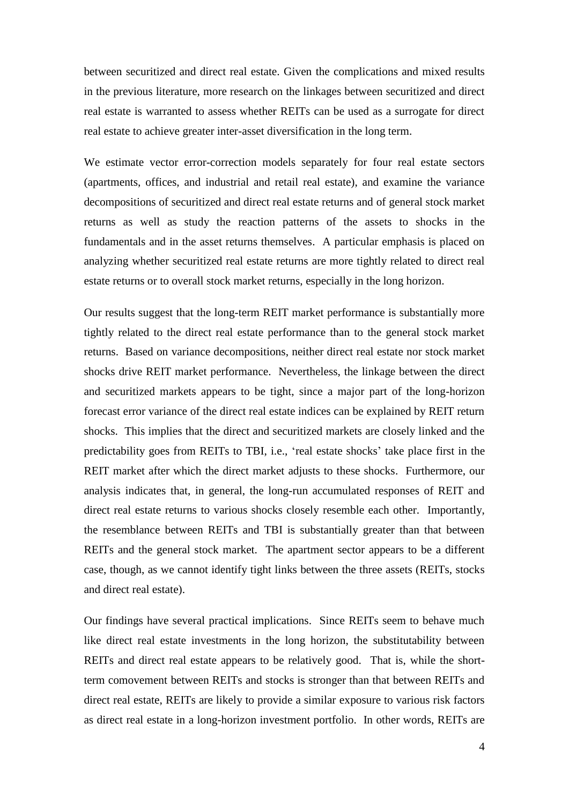between securitized and direct real estate. Given the complications and mixed results in the previous literature, more research on the linkages between securitized and direct real estate is warranted to assess whether REITs can be used as a surrogate for direct real estate to achieve greater inter-asset diversification in the long term.

We estimate vector error-correction models separately for four real estate sectors (apartments, offices, and industrial and retail real estate), and examine the variance decompositions of securitized and direct real estate returns and of general stock market returns as well as study the reaction patterns of the assets to shocks in the fundamentals and in the asset returns themselves. A particular emphasis is placed on analyzing whether securitized real estate returns are more tightly related to direct real estate returns or to overall stock market returns, especially in the long horizon.

Our results suggest that the long-term REIT market performance is substantially more tightly related to the direct real estate performance than to the general stock market returns. Based on variance decompositions, neither direct real estate nor stock market shocks drive REIT market performance. Nevertheless, the linkage between the direct and securitized markets appears to be tight, since a major part of the long-horizon forecast error variance of the direct real estate indices can be explained by REIT return shocks. This implies that the direct and securitized markets are closely linked and the predictability goes from REITs to TBI, i.e., 'real estate shocks' take place first in the REIT market after which the direct market adjusts to these shocks. Furthermore, our analysis indicates that, in general, the long-run accumulated responses of REIT and direct real estate returns to various shocks closely resemble each other. Importantly, the resemblance between REITs and TBI is substantially greater than that between REITs and the general stock market. The apartment sector appears to be a different case, though, as we cannot identify tight links between the three assets (REITs, stocks and direct real estate).

Our findings have several practical implications. Since REITs seem to behave much like direct real estate investments in the long horizon, the substitutability between REITs and direct real estate appears to be relatively good. That is, while the shortterm comovement between REITs and stocks is stronger than that between REITs and direct real estate, REITs are likely to provide a similar exposure to various risk factors as direct real estate in a long-horizon investment portfolio. In other words, REITs are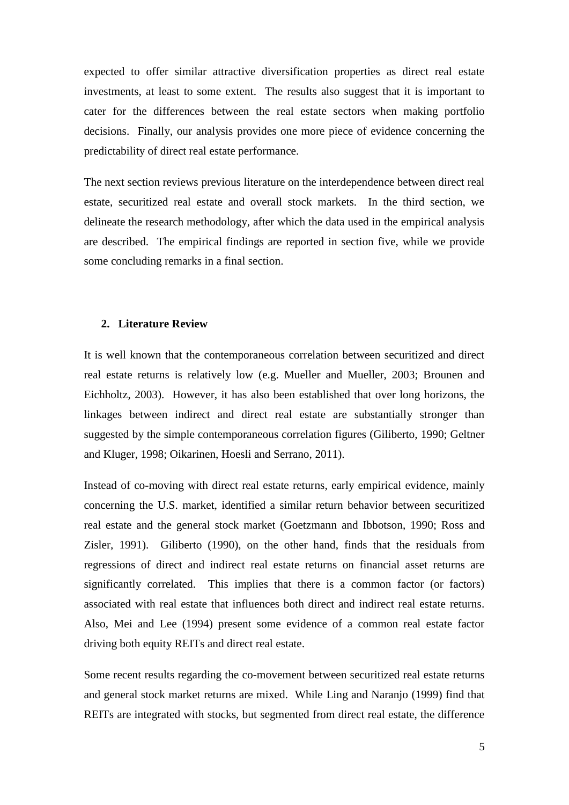expected to offer similar attractive diversification properties as direct real estate investments, at least to some extent. The results also suggest that it is important to cater for the differences between the real estate sectors when making portfolio decisions. Finally, our analysis provides one more piece of evidence concerning the predictability of direct real estate performance.

The next section reviews previous literature on the interdependence between direct real estate, securitized real estate and overall stock markets. In the third section, we delineate the research methodology, after which the data used in the empirical analysis are described. The empirical findings are reported in section five, while we provide some concluding remarks in a final section.

#### **2. Literature Review**

It is well known that the contemporaneous correlation between securitized and direct real estate returns is relatively low (e.g. Mueller and Mueller, 2003; Brounen and Eichholtz, 2003). However, it has also been established that over long horizons, the linkages between indirect and direct real estate are substantially stronger than suggested by the simple contemporaneous correlation figures (Giliberto, 1990; Geltner and Kluger, 1998; Oikarinen, Hoesli and Serrano, 2011).

Instead of co-moving with direct real estate returns, early empirical evidence, mainly concerning the U.S. market, identified a similar return behavior between securitized real estate and the general stock market (Goetzmann and Ibbotson, 1990; Ross and Zisler, 1991). Giliberto (1990), on the other hand, finds that the residuals from regressions of direct and indirect real estate returns on financial asset returns are significantly correlated. This implies that there is a common factor (or factors) associated with real estate that influences both direct and indirect real estate returns. Also, Mei and Lee (1994) present some evidence of a common real estate factor driving both equity REITs and direct real estate.

Some recent results regarding the co-movement between securitized real estate returns and general stock market returns are mixed. While Ling and Naranjo (1999) find that REITs are integrated with stocks, but segmented from direct real estate, the difference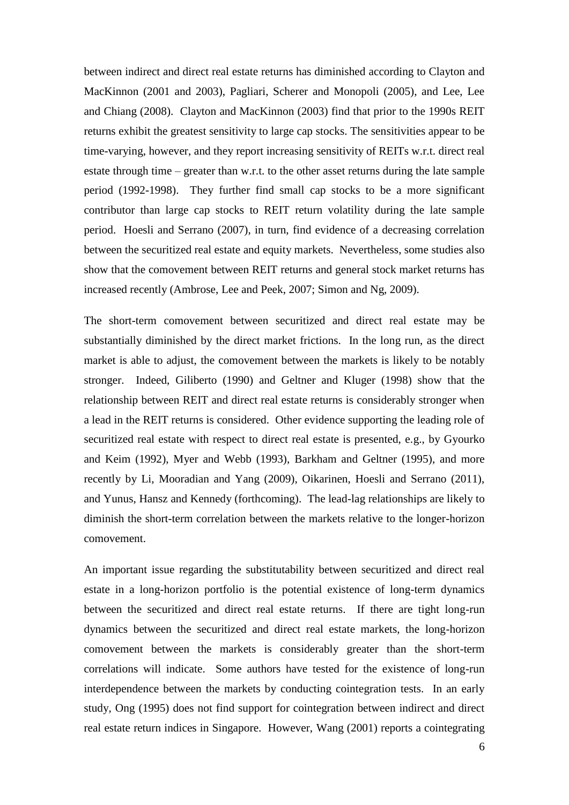between indirect and direct real estate returns has diminished according to Clayton and MacKinnon (2001 and 2003), Pagliari, Scherer and Monopoli (2005), and Lee, Lee and Chiang (2008). Clayton and MacKinnon (2003) find that prior to the 1990s REIT returns exhibit the greatest sensitivity to large cap stocks. The sensitivities appear to be time-varying, however, and they report increasing sensitivity of REITs w.r.t. direct real estate through time – greater than w.r.t. to the other asset returns during the late sample period (1992-1998). They further find small cap stocks to be a more significant contributor than large cap stocks to REIT return volatility during the late sample period. Hoesli and Serrano (2007), in turn, find evidence of a decreasing correlation between the securitized real estate and equity markets. Nevertheless, some studies also show that the comovement between REIT returns and general stock market returns has increased recently (Ambrose, Lee and Peek, 2007; Simon and Ng, 2009).

The short-term comovement between securitized and direct real estate may be substantially diminished by the direct market frictions. In the long run, as the direct market is able to adjust, the comovement between the markets is likely to be notably stronger. Indeed, Giliberto (1990) and Geltner and Kluger (1998) show that the relationship between REIT and direct real estate returns is considerably stronger when a lead in the REIT returns is considered. Other evidence supporting the leading role of securitized real estate with respect to direct real estate is presented, e.g., by Gyourko and Keim (1992), Myer and Webb (1993), Barkham and Geltner (1995), and more recently by Li, Mooradian and Yang (2009), Oikarinen, Hoesli and Serrano (2011), and Yunus, Hansz and Kennedy (forthcoming). The lead-lag relationships are likely to diminish the short-term correlation between the markets relative to the longer-horizon comovement.

An important issue regarding the substitutability between securitized and direct real estate in a long-horizon portfolio is the potential existence of long-term dynamics between the securitized and direct real estate returns. If there are tight long-run dynamics between the securitized and direct real estate markets, the long-horizon comovement between the markets is considerably greater than the short-term correlations will indicate. Some authors have tested for the existence of long-run interdependence between the markets by conducting cointegration tests. In an early study, Ong (1995) does not find support for cointegration between indirect and direct real estate return indices in Singapore. However, Wang (2001) reports a cointegrating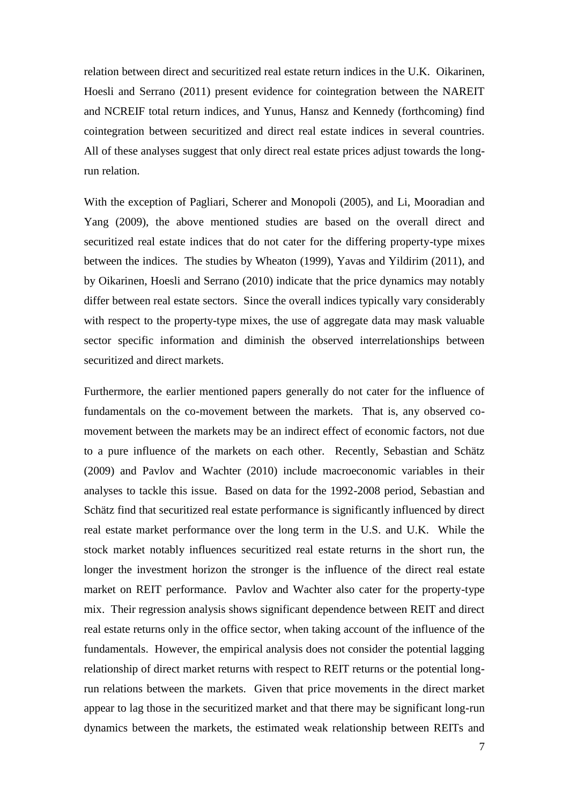relation between direct and securitized real estate return indices in the U.K. Oikarinen, Hoesli and Serrano (2011) present evidence for cointegration between the NAREIT and NCREIF total return indices, and Yunus, Hansz and Kennedy (forthcoming) find cointegration between securitized and direct real estate indices in several countries. All of these analyses suggest that only direct real estate prices adjust towards the longrun relation.

With the exception of Pagliari, Scherer and Monopoli (2005), and Li, Mooradian and Yang (2009), the above mentioned studies are based on the overall direct and securitized real estate indices that do not cater for the differing property-type mixes between the indices. The studies by Wheaton (1999), Yavas and Yildirim (2011), and by Oikarinen, Hoesli and Serrano (2010) indicate that the price dynamics may notably differ between real estate sectors. Since the overall indices typically vary considerably with respect to the property-type mixes, the use of aggregate data may mask valuable sector specific information and diminish the observed interrelationships between securitized and direct markets.

Furthermore, the earlier mentioned papers generally do not cater for the influence of fundamentals on the co-movement between the markets. That is, any observed comovement between the markets may be an indirect effect of economic factors, not due to a pure influence of the markets on each other. Recently, Sebastian and Schätz (2009) and Pavlov and Wachter (2010) include macroeconomic variables in their analyses to tackle this issue. Based on data for the 1992-2008 period, Sebastian and Schätz find that securitized real estate performance is significantly influenced by direct real estate market performance over the long term in the U.S. and U.K. While the stock market notably influences securitized real estate returns in the short run, the longer the investment horizon the stronger is the influence of the direct real estate market on REIT performance. Pavlov and Wachter also cater for the property-type mix. Their regression analysis shows significant dependence between REIT and direct real estate returns only in the office sector, when taking account of the influence of the fundamentals. However, the empirical analysis does not consider the potential lagging relationship of direct market returns with respect to REIT returns or the potential longrun relations between the markets. Given that price movements in the direct market appear to lag those in the securitized market and that there may be significant long-run dynamics between the markets, the estimated weak relationship between REITs and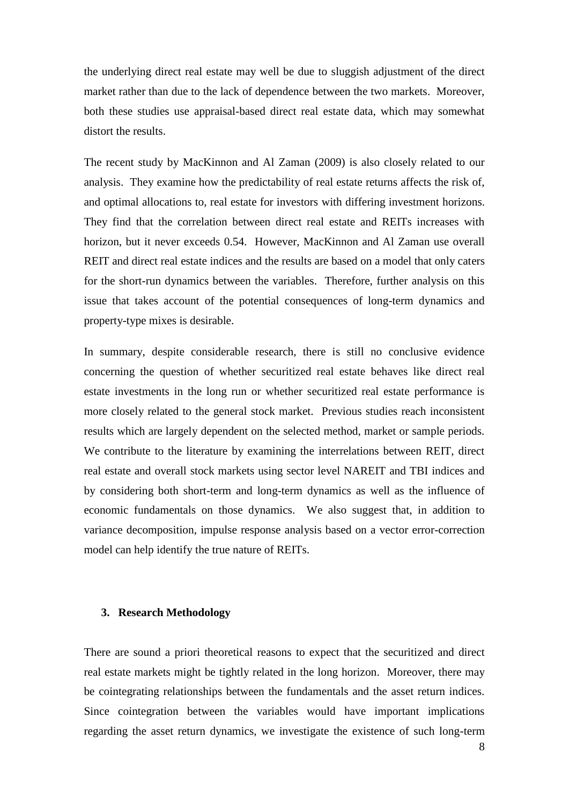the underlying direct real estate may well be due to sluggish adjustment of the direct market rather than due to the lack of dependence between the two markets. Moreover, both these studies use appraisal-based direct real estate data, which may somewhat distort the results.

The recent study by MacKinnon and Al Zaman (2009) is also closely related to our analysis. They examine how the predictability of real estate returns affects the risk of, and optimal allocations to, real estate for investors with differing investment horizons. They find that the correlation between direct real estate and REITs increases with horizon, but it never exceeds 0.54. However, MacKinnon and Al Zaman use overall REIT and direct real estate indices and the results are based on a model that only caters for the short-run dynamics between the variables. Therefore, further analysis on this issue that takes account of the potential consequences of long-term dynamics and property-type mixes is desirable.

In summary, despite considerable research, there is still no conclusive evidence concerning the question of whether securitized real estate behaves like direct real estate investments in the long run or whether securitized real estate performance is more closely related to the general stock market. Previous studies reach inconsistent results which are largely dependent on the selected method, market or sample periods. We contribute to the literature by examining the interrelations between REIT, direct real estate and overall stock markets using sector level NAREIT and TBI indices and by considering both short-term and long-term dynamics as well as the influence of economic fundamentals on those dynamics. We also suggest that, in addition to variance decomposition, impulse response analysis based on a vector error-correction model can help identify the true nature of REITs.

#### **3. Research Methodology**

There are sound a priori theoretical reasons to expect that the securitized and direct real estate markets might be tightly related in the long horizon. Moreover, there may be cointegrating relationships between the fundamentals and the asset return indices. Since cointegration between the variables would have important implications regarding the asset return dynamics, we investigate the existence of such long-term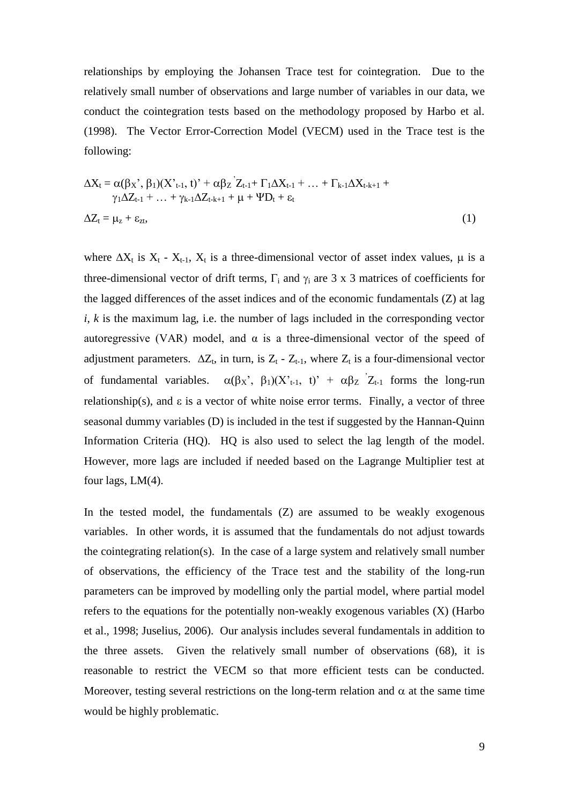relationships by employing the Johansen Trace test for cointegration. Due to the relatively small number of observations and large number of variables in our data, we conduct the cointegration tests based on the methodology proposed by Harbo et al. (1998). The Vector Error-Correction Model (VECM) used in the Trace test is the following:

$$
\Delta X_{t} = \alpha(\beta_{X}^{*}, \beta_{1})(X^{*}_{t-1}, t)^{*} + \alpha\beta_{Z}^{'}Z_{t-1} + \Gamma_{1}\Delta X_{t-1} + ... + \Gamma_{k-1}\Delta X_{t-k+1} + \gamma_{1}\Delta Z_{t-1} + ... + \gamma_{k-1}\Delta Z_{t-k+1} + \mu + \Psi D_{t} + \varepsilon_{t}
$$
  

$$
\Delta Z_{t} = \mu_{z} + \varepsilon_{zt},
$$
 (1)

where  $\Delta X_t$  is  $X_t$  -  $X_{t-1}$ ,  $X_t$  is a three-dimensional vector of asset index values,  $\mu$  is a three-dimensional vector of drift terms,  $\Gamma_i$  and  $\gamma_i$  are 3 x 3 matrices of coefficients for the lagged differences of the asset indices and of the economic fundamentals (Z) at lag  $i, k$  is the maximum lag, i.e. the number of lags included in the corresponding vector autoregressive (VAR) model, and  $\alpha$  is a three-dimensional vector of the speed of adjustment parameters.  $\Delta Z_t$ , in turn, is  $Z_t$  -  $Z_{t-1}$ , where  $Z_t$  is a four-dimensional vector of fundamental variables.  $\alpha(\beta_X; \beta_1)(X_{t-1}, t)' + \alpha \beta_Z Z_{t-1}$  forms the long-run relationship(s), and  $\varepsilon$  is a vector of white noise error terms. Finally, a vector of three seasonal dummy variables (D) is included in the test if suggested by the Hannan-Quinn Information Criteria (HQ). HQ is also used to select the lag length of the model. However, more lags are included if needed based on the Lagrange Multiplier test at four lags,  $LM(4)$ .

In the tested model, the fundamentals  $(Z)$  are assumed to be weakly exogenous variables. In other words, it is assumed that the fundamentals do not adjust towards the cointegrating relation(s). In the case of a large system and relatively small number of observations, the efficiency of the Trace test and the stability of the long-run parameters can be improved by modelling only the partial model, where partial model refers to the equations for the potentially non-weakly exogenous variables (X) (Harbo et al., 1998; Juselius, 2006). Our analysis includes several fundamentals in addition to the three assets. Given the relatively small number of observations (68), it is reasonable to restrict the VECM so that more efficient tests can be conducted. Moreover, testing several restrictions on the long-term relation and  $\alpha$  at the same time would be highly problematic.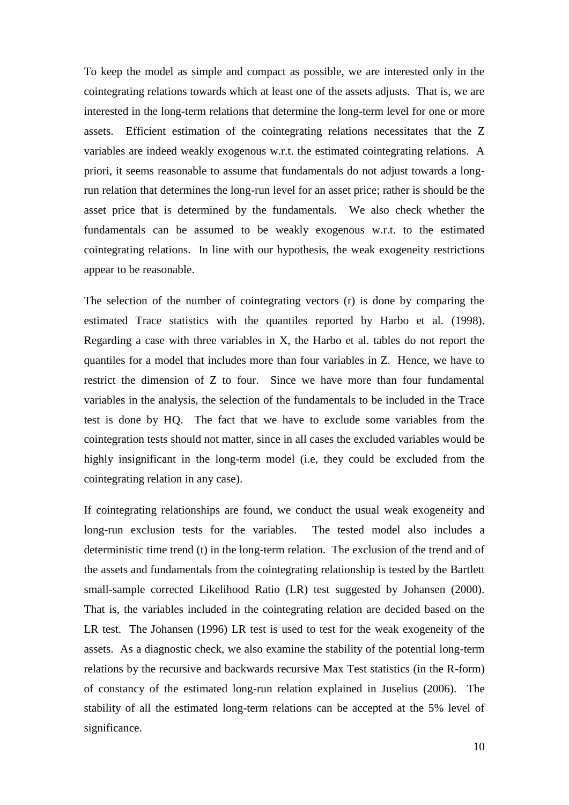To keep the model as simple and compact as possible, we are interested only in the cointegrating relations towards which at least one of the assets adjusts. That is, we are interested in the long-term relations that determine the long-term level for one or more assets. Efficient estimation of the cointegrating relations necessitates that the Z variables are indeed weakly exogenous w.r.t. the estimated cointegrating relations. A priori, it seems reasonable to assume that fundamentals do not adjust towards a longrun relation that determines the long-run level for an asset price; rather is should be the asset price that is determined by the fundamentals. We also check whether the fundamentals can be assumed to be weakly exogenous w.r.t. to the estimated cointegrating relations. In line with our hypothesis, the weak exogeneity restrictions appear to be reasonable.

The selection of the number of cointegrating vectors (r) is done by comparing the estimated Trace statistics with the quantiles reported by Harbo et al. (1998). Regarding a case with three variables in X, the Harbo et al. tables do not report the quantiles for a model that includes more than four variables in Z. Hence, we have to restrict the dimension of Z to four. Since we have more than four fundamental variables in the analysis, the selection of the fundamentals to be included in the Trace test is done by HQ. The fact that we have to exclude some variables from the cointegration tests should not matter, since in all cases the excluded variables would be highly insignificant in the long-term model (i.e, they could be excluded from the cointegrating relation in any case).

If cointegrating relationships are found, we conduct the usual weak exogeneity and long-run exclusion tests for the variables. The tested model also includes a deterministic time trend (t) in the long-term relation. The exclusion of the trend and of the assets and fundamentals from the cointegrating relationship is tested by the Bartlett small-sample corrected Likelihood Ratio (LR) test suggested by Johansen (2000). That is, the variables included in the cointegrating relation are decided based on the LR test. The Johansen (1996) LR test is used to test for the weak exogeneity of the assets. As a diagnostic check, we also examine the stability of the potential long-term relations by the recursive and backwards recursive Max Test statistics (in the R-form) of constancy of the estimated long-run relation explained in Juselius (2006). The stability of all the estimated long-term relations can be accepted at the 5% level of significance.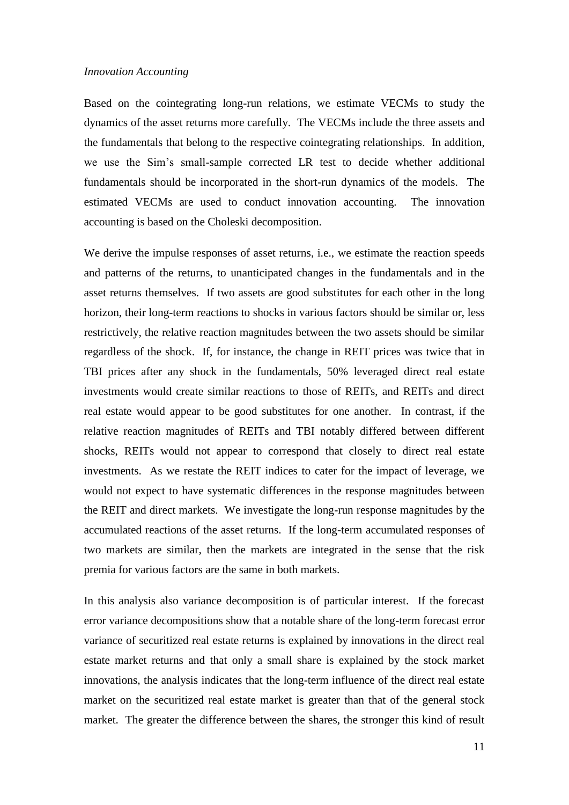#### *Innovation Accounting*

Based on the cointegrating long-run relations, we estimate VECMs to study the dynamics of the asset returns more carefully. The VECMs include the three assets and the fundamentals that belong to the respective cointegrating relationships. In addition, we use the Sim's small-sample corrected LR test to decide whether additional fundamentals should be incorporated in the short-run dynamics of the models. The estimated VECMs are used to conduct innovation accounting. The innovation accounting is based on the Choleski decomposition.

We derive the impulse responses of asset returns, i.e., we estimate the reaction speeds and patterns of the returns, to unanticipated changes in the fundamentals and in the asset returns themselves. If two assets are good substitutes for each other in the long horizon, their long-term reactions to shocks in various factors should be similar or, less restrictively, the relative reaction magnitudes between the two assets should be similar regardless of the shock. If, for instance, the change in REIT prices was twice that in TBI prices after any shock in the fundamentals, 50% leveraged direct real estate investments would create similar reactions to those of REITs, and REITs and direct real estate would appear to be good substitutes for one another. In contrast, if the relative reaction magnitudes of REITs and TBI notably differed between different shocks, REITs would not appear to correspond that closely to direct real estate investments. As we restate the REIT indices to cater for the impact of leverage, we would not expect to have systematic differences in the response magnitudes between the REIT and direct markets. We investigate the long-run response magnitudes by the accumulated reactions of the asset returns. If the long-term accumulated responses of two markets are similar, then the markets are integrated in the sense that the risk premia for various factors are the same in both markets.

In this analysis also variance decomposition is of particular interest. If the forecast error variance decompositions show that a notable share of the long-term forecast error variance of securitized real estate returns is explained by innovations in the direct real estate market returns and that only a small share is explained by the stock market innovations, the analysis indicates that the long-term influence of the direct real estate market on the securitized real estate market is greater than that of the general stock market. The greater the difference between the shares, the stronger this kind of result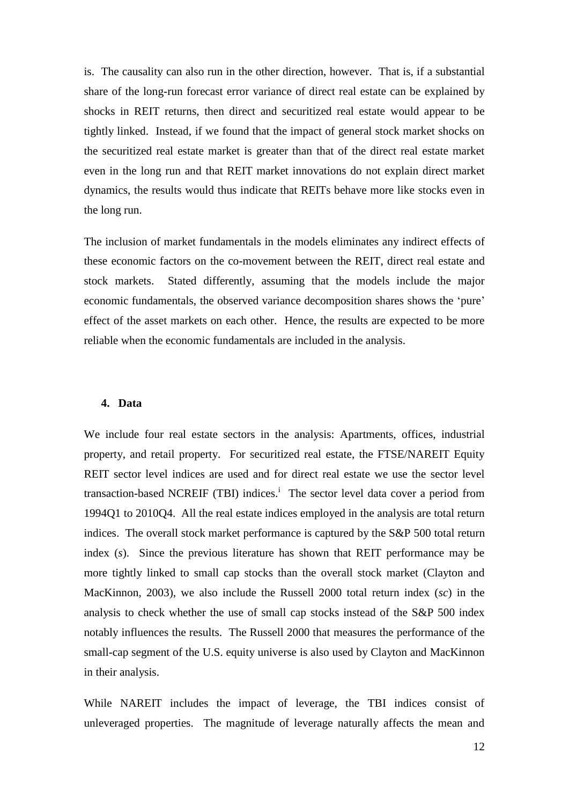is. The causality can also run in the other direction, however. That is, if a substantial share of the long-run forecast error variance of direct real estate can be explained by shocks in REIT returns, then direct and securitized real estate would appear to be tightly linked. Instead, if we found that the impact of general stock market shocks on the securitized real estate market is greater than that of the direct real estate market even in the long run and that REIT market innovations do not explain direct market dynamics, the results would thus indicate that REITs behave more like stocks even in the long run.

The inclusion of market fundamentals in the models eliminates any indirect effects of these economic factors on the co-movement between the REIT, direct real estate and stock markets. Stated differently, assuming that the models include the major economic fundamentals, the observed variance decomposition shares shows the 'pure' effect of the asset markets on each other. Hence, the results are expected to be more reliable when the economic fundamentals are included in the analysis.

## **4. Data**

We include four real estate sectors in the analysis: Apartments, offices, industrial property, and retail property. For securitized real estate, the FTSE/NAREIT Equity REIT sector level indices are used and for direct real estate we use the sector level transaction-based NCREIF (TBI) indices.<sup>i</sup> The sector level data cover a period from 1994Q1 to 2010Q4. All the real estate indices employed in the analysis are total return indices. The overall stock market performance is captured by the S&P 500 total return index (*s*). Since the previous literature has shown that REIT performance may be more tightly linked to small cap stocks than the overall stock market (Clayton and MacKinnon, 2003), we also include the Russell 2000 total return index (*sc*) in the analysis to check whether the use of small cap stocks instead of the S&P 500 index notably influences the results. The Russell 2000 that measures the performance of the small-cap segment of the U.S. equity universe is also used by Clayton and MacKinnon in their analysis.

While NAREIT includes the impact of leverage, the TBI indices consist of unleveraged properties. The magnitude of leverage naturally affects the mean and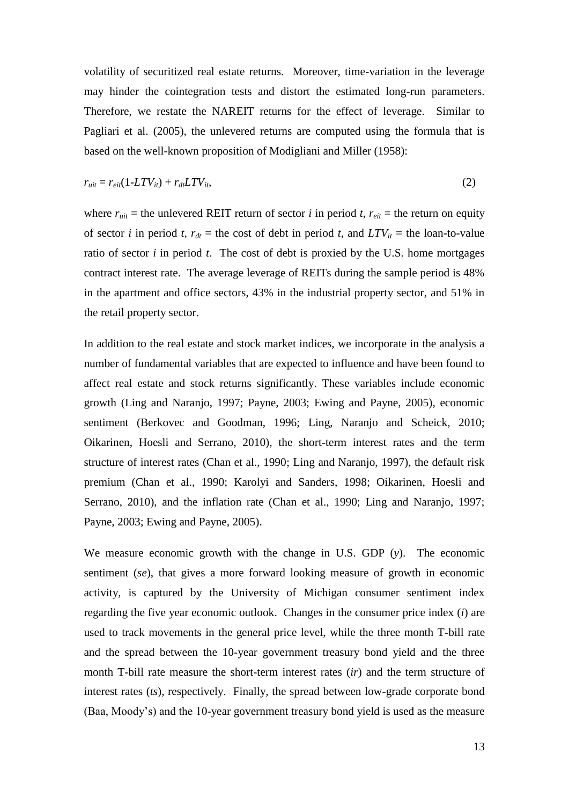volatility of securitized real estate returns. Moreover, time-variation in the leverage may hinder the cointegration tests and distort the estimated long-run parameters. Therefore, we restate the NAREIT returns for the effect of leverage. Similar to Pagliari et al. (2005), the unlevered returns are computed using the formula that is based on the well-known proposition of Modigliani and Miller (1958):

$$
r_{uit} = r_{ei}(1 - LTV_{it}) + r_{dt} LTV_{it},\tag{2}
$$

where  $r_{uit}$  = the unlevered REIT return of sector *i* in period *t*,  $r_{eit}$  = the return on equity of sector *i* in period *t*,  $r_{dt}$  = the cost of debt in period *t*, and  $LTV_{it}$  = the loan-to-value ratio of sector *i* in period *t*. The cost of debt is proxied by the U.S. home mortgages contract interest rate. The average leverage of REITs during the sample period is 48% in the apartment and office sectors, 43% in the industrial property sector, and 51% in the retail property sector.

In addition to the real estate and stock market indices, we incorporate in the analysis a number of fundamental variables that are expected to influence and have been found to affect real estate and stock returns significantly. These variables include economic growth (Ling and Naranjo, 1997; Payne, 2003; Ewing and Payne, 2005), economic sentiment (Berkovec and Goodman, 1996; Ling, Naranjo and Scheick, 2010; Oikarinen, Hoesli and Serrano, 2010), the short-term interest rates and the term structure of interest rates (Chan et al., 1990; Ling and Naranjo, 1997), the default risk premium (Chan et al., 1990; Karolyi and Sanders, 1998; Oikarinen, Hoesli and Serrano, 2010), and the inflation rate (Chan et al., 1990; Ling and Naranjo, 1997; Payne, 2003; Ewing and Payne, 2005).

We measure economic growth with the change in U.S. GDP (*y*). The economic sentiment (*se*), that gives a more forward looking measure of growth in economic activity, is captured by the University of Michigan consumer sentiment index regarding the five year economic outlook. Changes in the consumer price index (*i*) are used to track movements in the general price level, while the three month T-bill rate and the spread between the 10-year government treasury bond yield and the three month T-bill rate measure the short-term interest rates (*ir*) and the term structure of interest rates (*ts*), respectively. Finally, the spread between low-grade corporate bond (Baa, Moody's) and the 10-year government treasury bond yield is used as the measure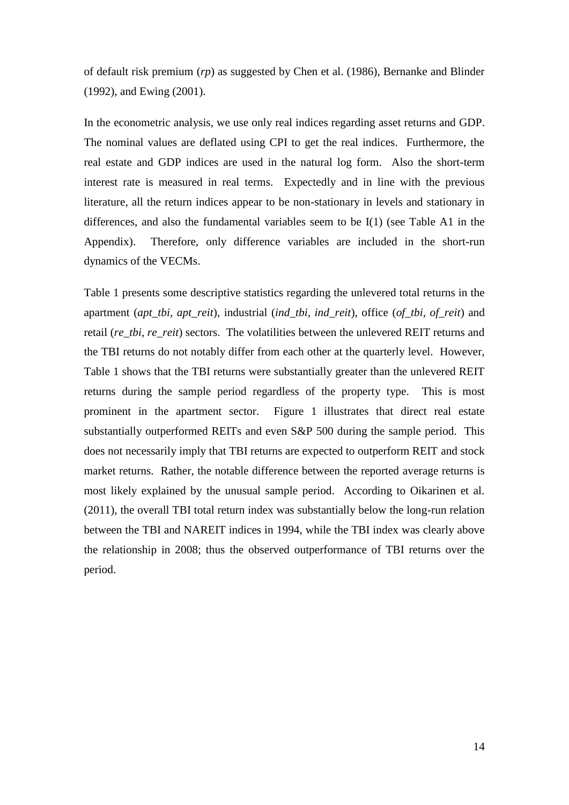of default risk premium (*rp*) as suggested by Chen et al. (1986), Bernanke and Blinder (1992), and Ewing (2001).

In the econometric analysis, we use only real indices regarding asset returns and GDP. The nominal values are deflated using CPI to get the real indices. Furthermore, the real estate and GDP indices are used in the natural log form. Also the short-term interest rate is measured in real terms. Expectedly and in line with the previous literature, all the return indices appear to be non-stationary in levels and stationary in differences, and also the fundamental variables seem to be  $I(1)$  (see Table A1 in the Appendix). Therefore, only difference variables are included in the short-run dynamics of the VECMs.

Table 1 presents some descriptive statistics regarding the unlevered total returns in the apartment (*apt\_tbi, apt\_reit*), industrial (*ind\_tbi, ind\_reit*), office (*of\_tbi, of\_reit*) and retail (*re\_tbi, re\_reit*) sectors. The volatilities between the unlevered REIT returns and the TBI returns do not notably differ from each other at the quarterly level. However, Table 1 shows that the TBI returns were substantially greater than the unlevered REIT returns during the sample period regardless of the property type. This is most prominent in the apartment sector. Figure 1 illustrates that direct real estate substantially outperformed REITs and even S&P 500 during the sample period. This does not necessarily imply that TBI returns are expected to outperform REIT and stock market returns. Rather, the notable difference between the reported average returns is most likely explained by the unusual sample period. According to Oikarinen et al. (2011), the overall TBI total return index was substantially below the long-run relation between the TBI and NAREIT indices in 1994, while the TBI index was clearly above the relationship in 2008; thus the observed outperformance of TBI returns over the period.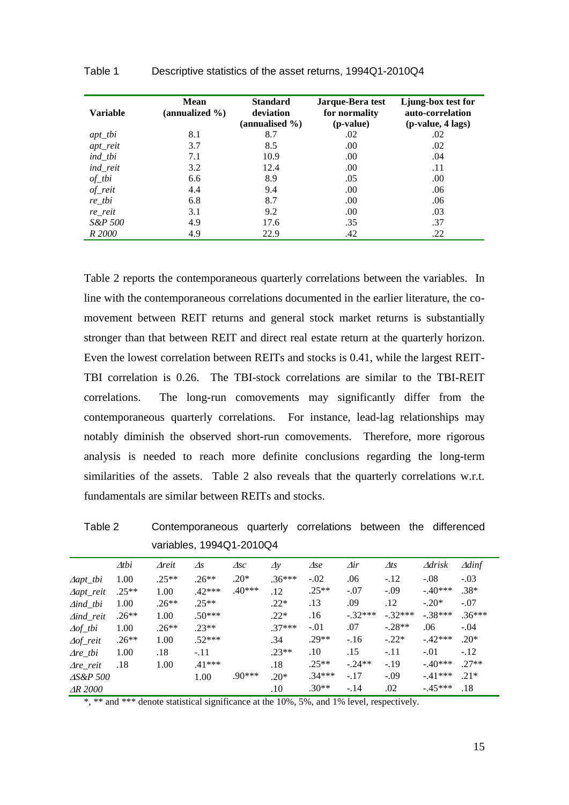| <b>Variable</b> | <b>Mean</b><br>(annualized $\%$ ) | <b>Standard</b><br>deviation<br>(annualised %) | Jarque-Bera test<br>for normality<br>(p-value) | Ljung-box test for<br>auto-correlation<br>$(p-value, 4 \text{ lags})$ |
|-----------------|-----------------------------------|------------------------------------------------|------------------------------------------------|-----------------------------------------------------------------------|
| $apt\_tbi$      | 8.1                               | 8.7                                            | .02                                            | .02                                                                   |
| apt_reit        | 3.7                               | 8.5                                            | .00.                                           | .02                                                                   |
| ind_tbi         | 7.1                               | 10.9                                           | .00                                            | .04                                                                   |
| ind_reit        | 3.2                               | 12.4                                           | .00                                            | .11                                                                   |
| $of\_tbi$       | 6.6                               | 8.9                                            | .05                                            | .00                                                                   |
| $of\_reit$      | 4.4                               | 9.4                                            | .00                                            | .06                                                                   |
| $re_t$          | 6.8                               | 8.7                                            | .00                                            | .06                                                                   |
| re_reit         | 3.1                               | 9.2                                            | .00                                            | .03                                                                   |
| S&P 500         | 4.9                               | 17.6                                           | .35                                            | .37                                                                   |
| R 2000          | 4.9                               | 22.9                                           | .42                                            | .22                                                                   |

Table 2 reports the contemporaneous quarterly correlations between the variables. In line with the contemporaneous correlations documented in the earlier literature, the comovement between REIT returns and general stock market returns is substantially stronger than that between REIT and direct real estate return at the quarterly horizon. Even the lowest correlation between REITs and stocks is 0.41, while the largest REIT-TBI correlation is 0.26. The TBI-stock correlations are similar to the TBI-REIT correlations. The long-run comovements may significantly differ from the contemporaneous quarterly correlations. For instance, lead-lag relationships may notably diminish the observed short-run comovements. Therefore, more rigorous analysis is needed to reach more definite conclusions regarding the long-term similarities of the assets. Table 2 also reveals that the quarterly correlations w.r.t. fundamentals are similar between REITs and stocks.

Table 2 Contemporaneous quarterly correlations between the differenced variables, 1994Q1-2010Q4

|                            | $\Delta tbi$ | $A$ reit | $\Delta s$ | $\triangle$ sc | $\Delta v$ | $\Delta se$ | $\varDelta$ ir | $\varDelta ts$ | $\Delta$ drisk | Adinf    |
|----------------------------|--------------|----------|------------|----------------|------------|-------------|----------------|----------------|----------------|----------|
| $\Delta$ apt_tbi           | 1.00         | $.25**$  | $.26**$    | $.20*$         | $.36***$   | $-.02$      | .06            | $-.12$         | $-.08$         | $-.03$   |
| $\Delta$ apt_reit          | $.25**$      | 1.00     | $.42***$   | $.40***$       | .12        | $.25**$     | $-.07$         | $-.09$         | $-.40***$      | $.38*$   |
| $\triangle$ <i>ind</i> thi | 1.00         | $.26**$  | $25**$     |                | $.22*$     | .13         | .09            | .12            | $-.20*$        | $-.07$   |
| $\triangle$ ind_reit       | $.26**$      | 1.00     | $.50***$   |                | $.22*$     | .16         | $-.32***$      | $-.32***$      | $-.38***$      | $.36***$ |
| $\Delta$ of_tbi            | 1.00         | $.26**$  | $23**$     |                | $.37***$   | $-.01$      | .07            | $-.28**$       | .06            | $-.04$   |
| $\Delta$ of_reit           | $.26**$      | 1.00     | $.52***$   |                | .34        | $.29**$     | $-.16$         | $-.22*$        | $-42***$       | $.20*$   |
| $\Delta re\_tbi$           | 1.00         | .18      | $-.11$     |                | $.23**$    | .10         | .15            | $-.11$         | $-.01$         | $-.12$   |
| $\Delta re$ reit           | .18          | 1.00     | $.41***$   |                | .18        | $.25**$     | $-.24**$       | $-19$          | $-40***$       | $.27**$  |
| $\triangle$ S&P 500        |              |          | 1.00       | $.90***$       | $.20*$     | $.34***$    | $-.17$         | $-.09$         | $-41***$       | $.21*$   |
| $\Delta R$ 2000            |              |          |            |                | .10        | $.30**$     | $-.14$         | .02            | $-45***$       | .18      |

\*, \*\* and \*\*\* denote statistical significance at the 10%, 5%, and 1% level, respectively.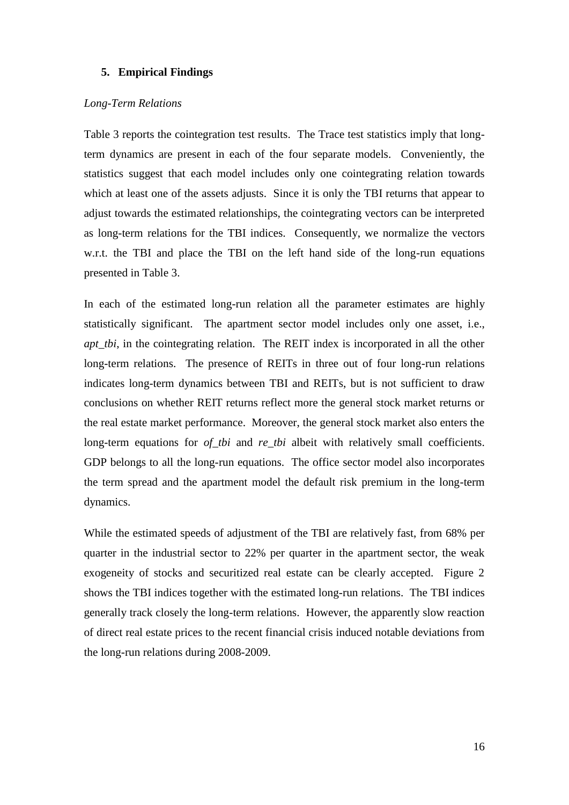### **5. Empirical Findings**

## *Long-Term Relations*

Table 3 reports the cointegration test results. The Trace test statistics imply that longterm dynamics are present in each of the four separate models. Conveniently, the statistics suggest that each model includes only one cointegrating relation towards which at least one of the assets adjusts. Since it is only the TBI returns that appear to adjust towards the estimated relationships, the cointegrating vectors can be interpreted as long-term relations for the TBI indices. Consequently, we normalize the vectors w.r.t. the TBI and place the TBI on the left hand side of the long-run equations presented in Table 3.

In each of the estimated long-run relation all the parameter estimates are highly statistically significant. The apartment sector model includes only one asset, i.e., *apt\_tbi*, in the cointegrating relation. The REIT index is incorporated in all the other long-term relations. The presence of REITs in three out of four long-run relations indicates long-term dynamics between TBI and REITs, but is not sufficient to draw conclusions on whether REIT returns reflect more the general stock market returns or the real estate market performance. Moreover, the general stock market also enters the long-term equations for *of\_tbi* and *re\_tbi* albeit with relatively small coefficients. GDP belongs to all the long-run equations. The office sector model also incorporates the term spread and the apartment model the default risk premium in the long-term dynamics.

While the estimated speeds of adjustment of the TBI are relatively fast, from 68% per quarter in the industrial sector to 22% per quarter in the apartment sector, the weak exogeneity of stocks and securitized real estate can be clearly accepted. Figure 2 shows the TBI indices together with the estimated long-run relations. The TBI indices generally track closely the long-term relations. However, the apparently slow reaction of direct real estate prices to the recent financial crisis induced notable deviations from the long-run relations during 2008-2009.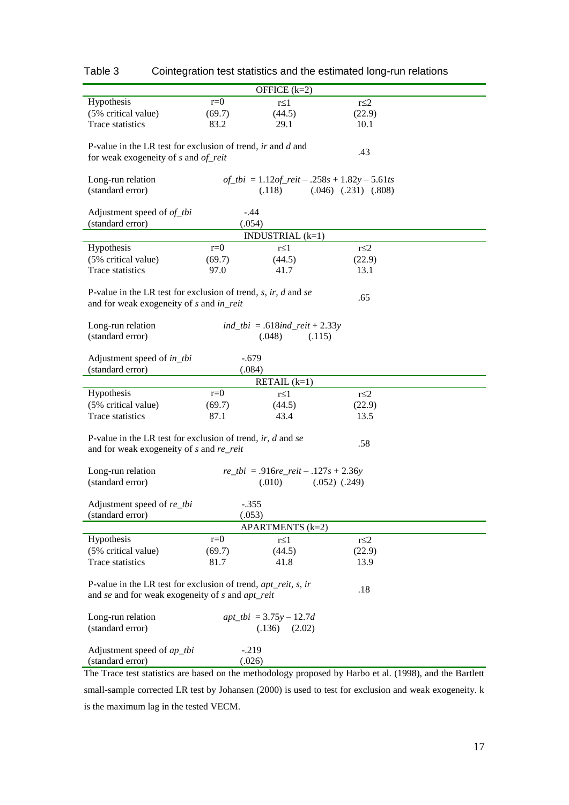| OFFICE $(k=2)$                                                                                                      |        |                                                       |                            |                                                                                                         |  |  |
|---------------------------------------------------------------------------------------------------------------------|--------|-------------------------------------------------------|----------------------------|---------------------------------------------------------------------------------------------------------|--|--|
| Hypothesis                                                                                                          | $r=0$  |                                                       |                            |                                                                                                         |  |  |
|                                                                                                                     |        | $r \leq 1$                                            |                            | $r \leq 2$                                                                                              |  |  |
| (5% critical value)                                                                                                 | (69.7) | (44.5)                                                |                            | (22.9)                                                                                                  |  |  |
| Trace statistics                                                                                                    | 83.2   | 29.1                                                  |                            | 10.1                                                                                                    |  |  |
| P-value in the LR test for exclusion of trend, $ir$ and $d$ and<br>.43<br>for weak exogeneity of $s$ and $of\_reit$ |        |                                                       |                            |                                                                                                         |  |  |
|                                                                                                                     |        |                                                       |                            |                                                                                                         |  |  |
| Long-run relation                                                                                                   |        | of_tbi = $1.12$ of_reit - .258s + $1.82y - 5.61$ ts   |                            |                                                                                                         |  |  |
| (standard error)                                                                                                    |        | (.118)                                                | $(.046)$ $(.231)$ $(.808)$ |                                                                                                         |  |  |
|                                                                                                                     |        |                                                       |                            |                                                                                                         |  |  |
| Adjustment speed of of_tbi                                                                                          |        | $-.44$                                                |                            |                                                                                                         |  |  |
| (standard error)                                                                                                    |        | (.054)                                                |                            |                                                                                                         |  |  |
|                                                                                                                     |        | INDUSTRIAL $(k=1)$                                    |                            |                                                                                                         |  |  |
| Hypothesis                                                                                                          | $r=0$  | $r \leq 1$                                            |                            | $r \leq 2$                                                                                              |  |  |
| (5% critical value)                                                                                                 | (69.7) | (44.5)                                                |                            | (22.9)                                                                                                  |  |  |
| Trace statistics                                                                                                    | 97.0   | 41.7                                                  |                            | 13.1                                                                                                    |  |  |
|                                                                                                                     |        |                                                       |                            |                                                                                                         |  |  |
| P-value in the LR test for exclusion of trend, $s$ , ir, $d$ and $se$<br>and for weak exogeneity of s and in_reit   |        |                                                       | .65                        |                                                                                                         |  |  |
|                                                                                                                     |        |                                                       |                            |                                                                                                         |  |  |
| Long-run relation                                                                                                   |        | <i>ind_tbi</i> = .618 <i>ind_reit</i> + 2.33 <i>y</i> |                            |                                                                                                         |  |  |
| (standard error)                                                                                                    |        | (.048)                                                | (.115)                     |                                                                                                         |  |  |
| Adjustment speed of in_tbi<br>(standard error)                                                                      |        | $-.679$<br>(.084)                                     |                            |                                                                                                         |  |  |
|                                                                                                                     |        | RETAIL $(k=1)$                                        |                            |                                                                                                         |  |  |
| Hypothesis                                                                                                          | $r=0$  | $r \leq 1$                                            |                            | $r \leq 2$                                                                                              |  |  |
| (5% critical value)                                                                                                 |        |                                                       |                            |                                                                                                         |  |  |
|                                                                                                                     | (69.7) | (44.5)                                                |                            | (22.9)                                                                                                  |  |  |
| Trace statistics                                                                                                    | 87.1   | 43.4                                                  |                            | 13.5                                                                                                    |  |  |
|                                                                                                                     |        |                                                       |                            |                                                                                                         |  |  |
| P-value in the LR test for exclusion of trend, $ir, d$ and se                                                       |        |                                                       | .58                        |                                                                                                         |  |  |
| and for weak exogeneity of s and re_reit                                                                            |        |                                                       |                            |                                                                                                         |  |  |
|                                                                                                                     |        |                                                       |                            |                                                                                                         |  |  |
| Long-run relation                                                                                                   |        | $re\_tbi = .916re\_reit - .127s + 2.36y$              |                            |                                                                                                         |  |  |
| (standard error)                                                                                                    |        | (.010)                                                | $(.052)$ $(.249)$          |                                                                                                         |  |  |
|                                                                                                                     |        |                                                       |                            |                                                                                                         |  |  |
| Adjustment speed of re_tbi                                                                                          |        | $-.355$                                               |                            |                                                                                                         |  |  |
| (standard error)                                                                                                    |        | (.053)                                                |                            |                                                                                                         |  |  |
| APARTMENTS (k=2)                                                                                                    |        |                                                       |                            |                                                                                                         |  |  |
| Hypothesis                                                                                                          | $r=0$  | $r \leq 1$                                            | $r \leq 2$                 |                                                                                                         |  |  |
| (5% critical value)                                                                                                 | (69.7) | (44.5)                                                |                            | (22.9)                                                                                                  |  |  |
| Trace statistics                                                                                                    | 81.7   | 41.8                                                  |                            | 13.9                                                                                                    |  |  |
|                                                                                                                     |        |                                                       |                            |                                                                                                         |  |  |
| P-value in the LR test for exclusion of trend, $apt\_reit$ , s, ir<br>.18                                           |        |                                                       |                            |                                                                                                         |  |  |
| and se and for weak exogeneity of s and apt_reit                                                                    |        |                                                       |                            |                                                                                                         |  |  |
|                                                                                                                     |        |                                                       |                            |                                                                                                         |  |  |
| Long-run relation                                                                                                   |        | $apt\_tbi = 3.75y - 12.7d$                            |                            |                                                                                                         |  |  |
| (standard error)                                                                                                    |        | (.136)<br>(2.02)                                      |                            |                                                                                                         |  |  |
|                                                                                                                     |        |                                                       |                            |                                                                                                         |  |  |
| Adjustment speed of ap_tbi                                                                                          |        | $-219$                                                |                            |                                                                                                         |  |  |
| (standard error)                                                                                                    |        | (.026)                                                |                            |                                                                                                         |  |  |
|                                                                                                                     |        |                                                       |                            | The Trees test statistics are besed on the methodology prepared by Herbe at al. (1009) and the Pertlett |  |  |

Table 3 Cointegration test statistics and the estimated long-run relations

The Trace test statistics are based on the methodology proposed by Harbo et al. (1998), and the Bartlett small-sample corrected LR test by Johansen (2000) is used to test for exclusion and weak exogeneity. k is the maximum lag in the tested VECM.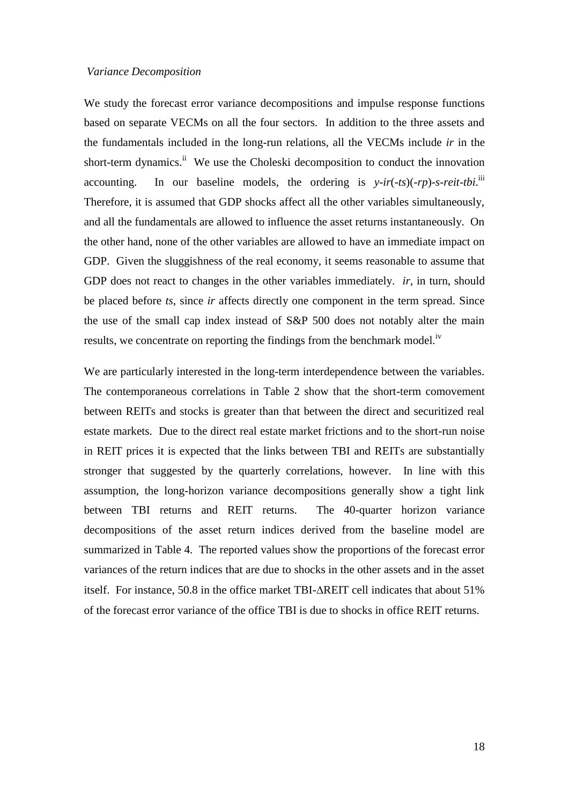#### *Variance Decomposition*

We study the forecast error variance decompositions and impulse response functions based on separate VECMs on all the four sectors. In addition to the three assets and the fundamentals included in the long-run relations, all the VECMs include *ir* in the short-term dynamics.<sup>ii</sup> We use the Choleski decomposition to conduct the innovation accounting. In our baseline models, the ordering is *y-ir*(*-ts*)(*-rp*)*-s-reit-tbi*. iii Therefore, it is assumed that GDP shocks affect all the other variables simultaneously, and all the fundamentals are allowed to influence the asset returns instantaneously. On the other hand, none of the other variables are allowed to have an immediate impact on GDP. Given the sluggishness of the real economy, it seems reasonable to assume that GDP does not react to changes in the other variables immediately. *ir*, in turn, should be placed before *ts*, since *ir* affects directly one component in the term spread. Since the use of the small cap index instead of S&P 500 does not notably alter the main results, we concentrate on reporting the findings from the benchmark model.<sup>iv</sup>

We are particularly interested in the long-term interdependence between the variables. The contemporaneous correlations in Table 2 show that the short-term comovement between REITs and stocks is greater than that between the direct and securitized real estate markets. Due to the direct real estate market frictions and to the short-run noise in REIT prices it is expected that the links between TBI and REITs are substantially stronger that suggested by the quarterly correlations, however. In line with this assumption, the long-horizon variance decompositions generally show a tight link between TBI returns and REIT returns. The 40-quarter horizon variance decompositions of the asset return indices derived from the baseline model are summarized in Table 4. The reported values show the proportions of the forecast error variances of the return indices that are due to shocks in the other assets and in the asset itself. For instance, 50.8 in the office market TBI-REIT cell indicates that about 51% of the forecast error variance of the office TBI is due to shocks in office REIT returns.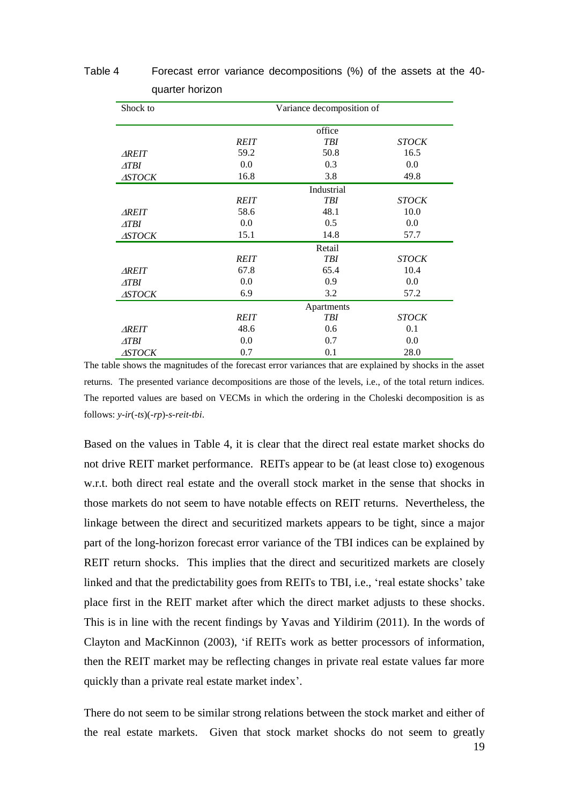| Shock to      |             | Variance decomposition of |              |  |  |  |
|---------------|-------------|---------------------------|--------------|--|--|--|
|               |             | office                    |              |  |  |  |
|               | <b>REIT</b> | <b>TBI</b>                | <b>STOCK</b> |  |  |  |
| <b>AREIT</b>  | 59.2        | 50.8                      | 16.5         |  |  |  |
| ATBI          | 0.0         | 0.3                       | 0.0          |  |  |  |
| <b>ASTOCK</b> | 16.8        | 3.8                       | 49.8         |  |  |  |
|               |             | Industrial                |              |  |  |  |
|               | <b>REIT</b> | <b>TBI</b>                | <b>STOCK</b> |  |  |  |
| <b>AREIT</b>  | 58.6        | 48.1                      | 10.0         |  |  |  |
| ATBI          | 0.0         | 0.5                       | 0.0          |  |  |  |
| <b>ASTOCK</b> | 15.1        | 14.8                      | 57.7         |  |  |  |
|               |             | Retail                    |              |  |  |  |
|               | <b>REIT</b> | <b>TBI</b>                | <b>STOCK</b> |  |  |  |
| <b>AREIT</b>  | 67.8        | 65.4                      | 10.4         |  |  |  |
| ATBI          | 0.0         | 0.9                       | 0.0          |  |  |  |
| <b>ASTOCK</b> | 6.9         | 3.2                       | 57.2         |  |  |  |
|               | Apartments  |                           |              |  |  |  |
|               | <b>REIT</b> | <b>TBI</b>                | <b>STOCK</b> |  |  |  |
| <b>AREIT</b>  | 48.6        | 0.6                       | 0.1          |  |  |  |
| ATBI          | 0.0         | 0.7                       | 0.0          |  |  |  |
| <b>ASTOCK</b> | 0.7         | 0.1                       | 28.0         |  |  |  |

# Table 4 Forecast error variance decompositions (%) of the assets at the 40 quarter horizon

The table shows the magnitudes of the forecast error variances that are explained by shocks in the asset returns. The presented variance decompositions are those of the levels, i.e., of the total return indices. The reported values are based on VECMs in which the ordering in the Choleski decomposition is as follows: *y-ir*(*-ts*)(*-rp*)*-s-reit-tbi*.

Based on the values in Table 4, it is clear that the direct real estate market shocks do not drive REIT market performance. REITs appear to be (at least close to) exogenous w.r.t. both direct real estate and the overall stock market in the sense that shocks in those markets do not seem to have notable effects on REIT returns. Nevertheless, the linkage between the direct and securitized markets appears to be tight, since a major part of the long-horizon forecast error variance of the TBI indices can be explained by REIT return shocks. This implies that the direct and securitized markets are closely linked and that the predictability goes from REITs to TBI, i.e., 'real estate shocks' take place first in the REIT market after which the direct market adjusts to these shocks. This is in line with the recent findings by Yavas and Yildirim (2011). In the words of Clayton and MacKinnon (2003), 'if REITs work as better processors of information, then the REIT market may be reflecting changes in private real estate values far more quickly than a private real estate market index'.

There do not seem to be similar strong relations between the stock market and either of the real estate markets. Given that stock market shocks do not seem to greatly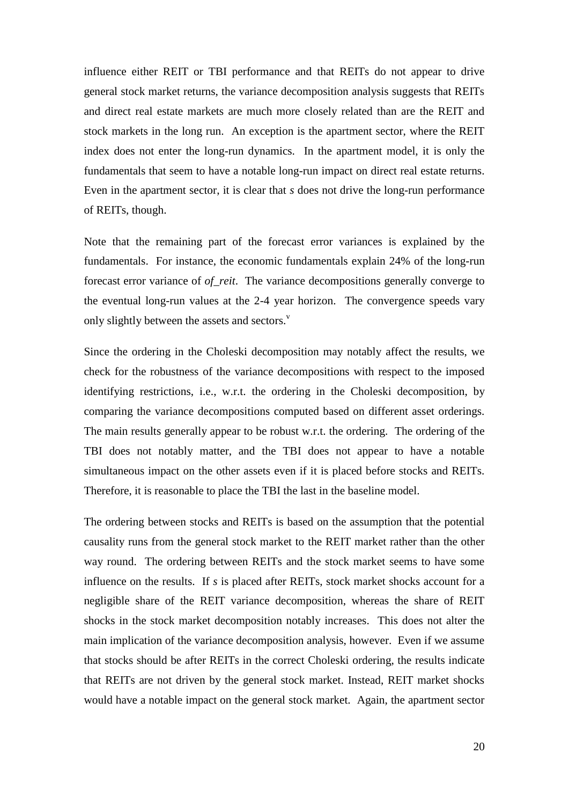influence either REIT or TBI performance and that REITs do not appear to drive general stock market returns, the variance decomposition analysis suggests that REITs and direct real estate markets are much more closely related than are the REIT and stock markets in the long run. An exception is the apartment sector, where the REIT index does not enter the long-run dynamics. In the apartment model, it is only the fundamentals that seem to have a notable long-run impact on direct real estate returns. Even in the apartment sector, it is clear that *s* does not drive the long-run performance of REITs, though.

Note that the remaining part of the forecast error variances is explained by the fundamentals. For instance, the economic fundamentals explain 24% of the long-run forecast error variance of *of\_reit*. The variance decompositions generally converge to the eventual long-run values at the 2-4 year horizon. The convergence speeds vary only slightly between the assets and sectors. $\overline{v}$ 

Since the ordering in the Choleski decomposition may notably affect the results, we check for the robustness of the variance decompositions with respect to the imposed identifying restrictions, i.e., w.r.t. the ordering in the Choleski decomposition, by comparing the variance decompositions computed based on different asset orderings. The main results generally appear to be robust w.r.t. the ordering. The ordering of the TBI does not notably matter, and the TBI does not appear to have a notable simultaneous impact on the other assets even if it is placed before stocks and REITs. Therefore, it is reasonable to place the TBI the last in the baseline model.

The ordering between stocks and REITs is based on the assumption that the potential causality runs from the general stock market to the REIT market rather than the other way round. The ordering between REITs and the stock market seems to have some influence on the results. If *s* is placed after REITs, stock market shocks account for a negligible share of the REIT variance decomposition, whereas the share of REIT shocks in the stock market decomposition notably increases. This does not alter the main implication of the variance decomposition analysis, however. Even if we assume that stocks should be after REITs in the correct Choleski ordering, the results indicate that REITs are not driven by the general stock market. Instead, REIT market shocks would have a notable impact on the general stock market. Again, the apartment sector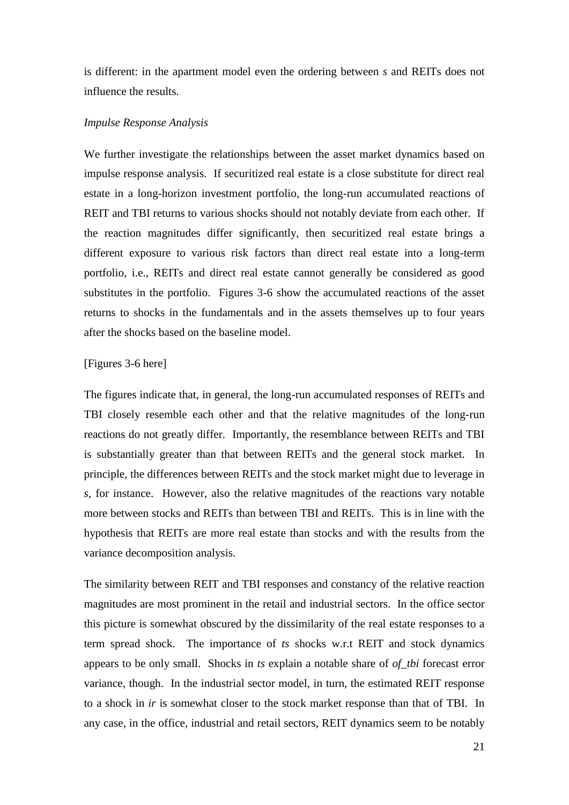is different: in the apartment model even the ordering between *s* and REITs does not influence the results.

#### *Impulse Response Analysis*

We further investigate the relationships between the asset market dynamics based on impulse response analysis. If securitized real estate is a close substitute for direct real estate in a long-horizon investment portfolio, the long-run accumulated reactions of REIT and TBI returns to various shocks should not notably deviate from each other. If the reaction magnitudes differ significantly, then securitized real estate brings a different exposure to various risk factors than direct real estate into a long-term portfolio, i.e., REITs and direct real estate cannot generally be considered as good substitutes in the portfolio. Figures 3-6 show the accumulated reactions of the asset returns to shocks in the fundamentals and in the assets themselves up to four years after the shocks based on the baseline model.

#### [Figures 3-6 here]

The figures indicate that, in general, the long-run accumulated responses of REITs and TBI closely resemble each other and that the relative magnitudes of the long-run reactions do not greatly differ. Importantly, the resemblance between REITs and TBI is substantially greater than that between REITs and the general stock market. In principle, the differences between REITs and the stock market might due to leverage in *s*, for instance. However, also the relative magnitudes of the reactions vary notable more between stocks and REITs than between TBI and REITs. This is in line with the hypothesis that REITs are more real estate than stocks and with the results from the variance decomposition analysis.

The similarity between REIT and TBI responses and constancy of the relative reaction magnitudes are most prominent in the retail and industrial sectors. In the office sector this picture is somewhat obscured by the dissimilarity of the real estate responses to a term spread shock. The importance of *ts* shocks w.r.t REIT and stock dynamics appears to be only small. Shocks in *ts* explain a notable share of *of\_tbi* forecast error variance, though. In the industrial sector model, in turn, the estimated REIT response to a shock in *ir* is somewhat closer to the stock market response than that of TBI. In any case, in the office, industrial and retail sectors, REIT dynamics seem to be notably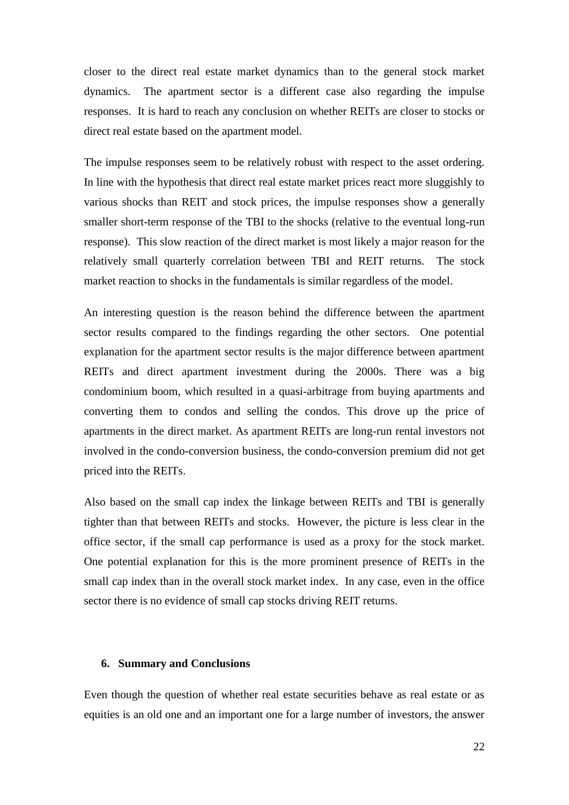closer to the direct real estate market dynamics than to the general stock market dynamics. The apartment sector is a different case also regarding the impulse responses. It is hard to reach any conclusion on whether REITs are closer to stocks or direct real estate based on the apartment model.

The impulse responses seem to be relatively robust with respect to the asset ordering. In line with the hypothesis that direct real estate market prices react more sluggishly to various shocks than REIT and stock prices, the impulse responses show a generally smaller short-term response of the TBI to the shocks (relative to the eventual long-run response). This slow reaction of the direct market is most likely a major reason for the relatively small quarterly correlation between TBI and REIT returns. The stock market reaction to shocks in the fundamentals is similar regardless of the model.

An interesting question is the reason behind the difference between the apartment sector results compared to the findings regarding the other sectors. One potential explanation for the apartment sector results is the major difference between apartment REITs and direct apartment investment during the 2000s. There was a big condominium boom, which resulted in a quasi-arbitrage from buying apartments and converting them to condos and selling the condos. This drove up the price of apartments in the direct market. As apartment REITs are long-run rental investors not involved in the condo-conversion business, the condo-conversion premium did not get priced into the REITs.

Also based on the small cap index the linkage between REITs and TBI is generally tighter than that between REITs and stocks. However, the picture is less clear in the office sector, if the small cap performance is used as a proxy for the stock market. One potential explanation for this is the more prominent presence of REITs in the small cap index than in the overall stock market index. In any case, even in the office sector there is no evidence of small cap stocks driving REIT returns.

### **6. Summary and Conclusions**

Even though the question of whether real estate securities behave as real estate or as equities is an old one and an important one for a large number of investors, the answer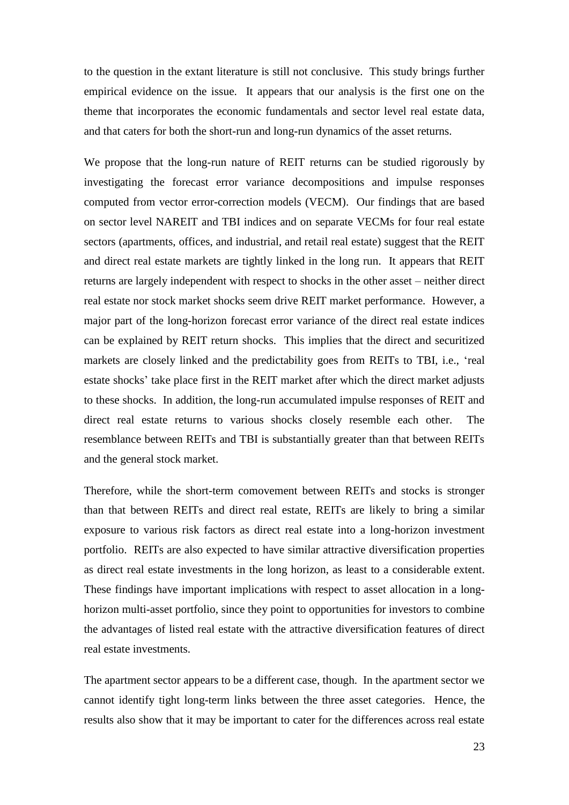to the question in the extant literature is still not conclusive. This study brings further empirical evidence on the issue. It appears that our analysis is the first one on the theme that incorporates the economic fundamentals and sector level real estate data, and that caters for both the short-run and long-run dynamics of the asset returns.

We propose that the long-run nature of REIT returns can be studied rigorously by investigating the forecast error variance decompositions and impulse responses computed from vector error-correction models (VECM). Our findings that are based on sector level NAREIT and TBI indices and on separate VECMs for four real estate sectors (apartments, offices, and industrial, and retail real estate) suggest that the REIT and direct real estate markets are tightly linked in the long run. It appears that REIT returns are largely independent with respect to shocks in the other asset – neither direct real estate nor stock market shocks seem drive REIT market performance. However, a major part of the long-horizon forecast error variance of the direct real estate indices can be explained by REIT return shocks. This implies that the direct and securitized markets are closely linked and the predictability goes from REITs to TBI, i.e., 'real estate shocks' take place first in the REIT market after which the direct market adjusts to these shocks. In addition, the long-run accumulated impulse responses of REIT and direct real estate returns to various shocks closely resemble each other. The resemblance between REITs and TBI is substantially greater than that between REITs and the general stock market.

Therefore, while the short-term comovement between REITs and stocks is stronger than that between REITs and direct real estate, REITs are likely to bring a similar exposure to various risk factors as direct real estate into a long-horizon investment portfolio. REITs are also expected to have similar attractive diversification properties as direct real estate investments in the long horizon, as least to a considerable extent. These findings have important implications with respect to asset allocation in a longhorizon multi-asset portfolio, since they point to opportunities for investors to combine the advantages of listed real estate with the attractive diversification features of direct real estate investments.

The apartment sector appears to be a different case, though. In the apartment sector we cannot identify tight long-term links between the three asset categories. Hence, the results also show that it may be important to cater for the differences across real estate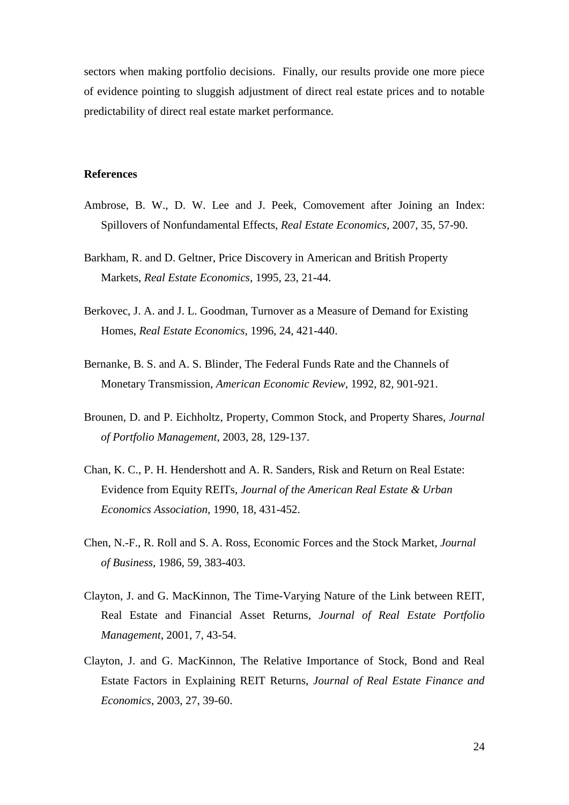sectors when making portfolio decisions. Finally, our results provide one more piece of evidence pointing to sluggish adjustment of direct real estate prices and to notable predictability of direct real estate market performance.

### **References**

- Ambrose, B. W., D. W. Lee and J. Peek, Comovement after Joining an Index: Spillovers of Nonfundamental Effects, *Real Estate Economics*, 2007, 35, 57-90.
- Barkham, R. and D. Geltner, Price Discovery in American and British Property Markets, *Real Estate Economics,* 1995, 23, 21-44.
- Berkovec, J. A. and J. L. Goodman, Turnover as a Measure of Demand for Existing Homes, *Real Estate Economics,* 1996, 24, 421-440.
- Bernanke, B. S. and A. S. Blinder, The Federal Funds Rate and the Channels of Monetary Transmission, *American Economic Review,* 1992, 82, 901-921.
- Brounen, D. and P. Eichholtz, Property, Common Stock, and Property Shares, *Journal of Portfolio Management*, 2003, 28, 129-137.
- Chan, K. C., P. H. Hendershott and A. R. Sanders, Risk and Return on Real Estate: Evidence from Equity REITs, *Journal of the American Real Estate & Urban Economics Association,* 1990, 18, 431-452.
- Chen, N.-F., R. Roll and S. A. Ross, Economic Forces and the Stock Market, *Journal of Business,* 1986, 59, 383-403.
- Clayton, J. and G. MacKinnon, The Time-Varying Nature of the Link between REIT, Real Estate and Financial Asset Returns, *Journal of Real Estate Portfolio Management*, 2001, 7, 43-54.
- Clayton, J. and G. MacKinnon, The Relative Importance of Stock, Bond and Real Estate Factors in Explaining REIT Returns, *Journal of Real Estate Finance and Economics*, 2003, 27, 39-60.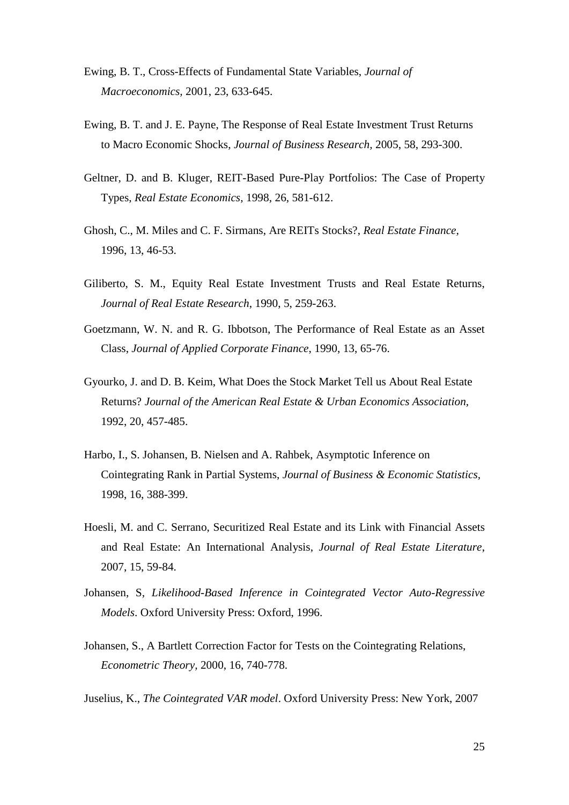- Ewing, B. T., Cross-Effects of Fundamental State Variables, *Journal of Macroeconomics,* 2001, 23, 633-645.
- Ewing, B. T. and J. E. Payne, The Response of Real Estate Investment Trust Returns to Macro Economic Shocks, *Journal of Business Research,* 2005, 58, 293-300.
- Geltner, D. and B. Kluger, REIT-Based Pure-Play Portfolios: The Case of Property Types, *Real Estate Economics*, 1998, 26, 581-612.
- Ghosh, C., M. Miles and C. F. Sirmans, Are REITs Stocks?, *Real Estate Finance,*  1996, 13, 46-53.
- Giliberto, S. M., Equity Real Estate Investment Trusts and Real Estate Returns, *Journal of Real Estate Research*, 1990, 5, 259-263.
- Goetzmann, W. N. and R. G. Ibbotson, The Performance of Real Estate as an Asset Class, *Journal of Applied Corporate Finance*, 1990, 13, 65-76.
- Gyourko, J. and D. B. Keim, What Does the Stock Market Tell us About Real Estate Returns? *Journal of the American Real Estate & Urban Economics Association,*  1992, 20, 457-485.
- Harbo, I., S. Johansen, B. Nielsen and A. Rahbek, Asymptotic Inference on Cointegrating Rank in Partial Systems, *Journal of Business & Economic Statistics,*  1998, 16, 388-399.
- Hoesli, M. and C. Serrano, Securitized Real Estate and its Link with Financial Assets and Real Estate: An International Analysis, *Journal of Real Estate Literature*, 2007, 15, 59-84.
- Johansen, S, *Likelihood-Based Inference in Cointegrated Vector Auto-Regressive Models*. Oxford University Press: Oxford, 1996.
- Johansen, S., A Bartlett Correction Factor for Tests on the Cointegrating Relations, *Econometric Theory,* 2000, 16, 740-778.
- Juselius, K., *The Cointegrated VAR model*. Oxford University Press: New York, 2007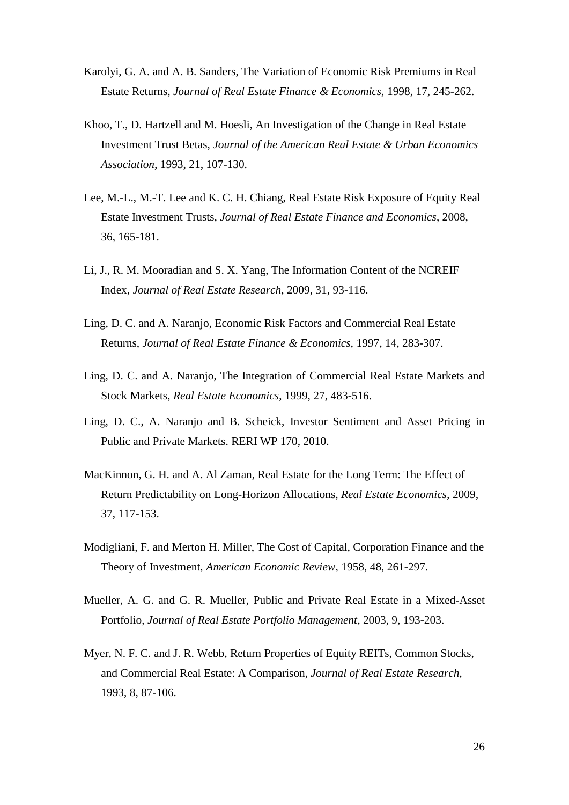- Karolyi, G. A. and A. B. Sanders, The Variation of Economic Risk Premiums in Real Estate Returns, *Journal of Real Estate Finance & Economics,* 1998, 17, 245-262.
- Khoo, T., D. Hartzell and M. Hoesli, An Investigation of the Change in Real Estate Investment Trust Betas, *Journal of the American Real Estate & Urban Economics Association,* 1993, 21, 107-130.
- Lee, M.-L., M.-T. Lee and K. C. H. Chiang, Real Estate Risk Exposure of Equity Real Estate Investment Trusts, *Journal of Real Estate Finance and Economics*, 2008, 36, 165-181.
- Li, J., R. M. Mooradian and S. X. Yang, The Information Content of the NCREIF Index, *Journal of Real Estate Research,* 2009, 31, 93-116.
- Ling, D. C. and A. Naranjo, Economic Risk Factors and Commercial Real Estate Returns, *Journal of Real Estate Finance & Economics,* 1997, 14, 283-307.
- Ling, D. C. and A. Naranjo, The Integration of Commercial Real Estate Markets and Stock Markets, *Real Estate Economics*, 1999, 27, 483-516.
- Ling, D. C., A. Naranjo and B. Scheick, Investor Sentiment and Asset Pricing in Public and Private Markets. RERI WP 170, 2010.
- MacKinnon, G. H. and A. Al Zaman, Real Estate for the Long Term: The Effect of Return Predictability on Long-Horizon Allocations, *Real Estate Economics,* 2009, 37, 117-153.
- Modigliani, F. and Merton H. Miller, The Cost of Capital, Corporation Finance and the Theory of Investment, *American Economic Review,* 1958, 48, 261-297.
- Mueller, A. G. and G. R. Mueller, Public and Private Real Estate in a Mixed-Asset Portfolio, *Journal of Real Estate Portfolio Management*, 2003, 9, 193-203.
- Myer, N. F. C. and J. R. Webb, Return Properties of Equity REITs, Common Stocks, and Commercial Real Estate: A Comparison, *Journal of Real Estate Research,*  1993, 8, 87-106.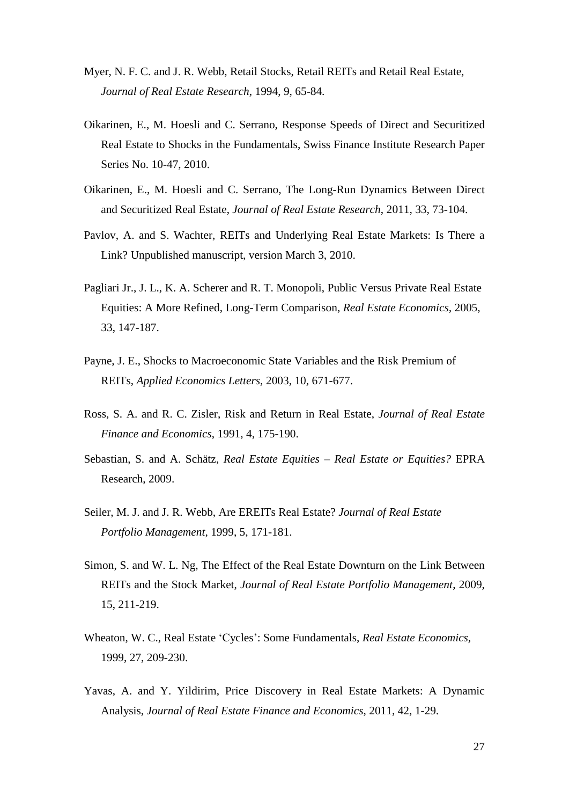- Myer, N. F. C. and J. R. Webb, Retail Stocks, Retail REITs and Retail Real Estate, *Journal of Real Estate Research,* 1994, 9, 65-84.
- Oikarinen, E., M. Hoesli and C. Serrano, Response Speeds of Direct and Securitized Real Estate to Shocks in the Fundamentals, Swiss Finance Institute Research Paper Series No. 10-47, 2010.
- Oikarinen, E., M. Hoesli and C. Serrano, The Long-Run Dynamics Between Direct and Securitized Real Estate, *Journal of Real Estate Research*, 2011, 33, 73-104.
- Pavlov, A. and S. Wachter, REITs and Underlying Real Estate Markets: Is There a Link? Unpublished manuscript, version March 3, 2010.
- Pagliari Jr., J. L., K. A. Scherer and R. T. Monopoli, Public Versus Private Real Estate Equities: A More Refined, Long-Term Comparison, *Real Estate Economics,* 2005, 33, 147-187.
- Payne, J. E., Shocks to Macroeconomic State Variables and the Risk Premium of REITs, *Applied Economics Letters,* 2003, 10, 671-677.
- Ross, S. A. and R. C. Zisler, Risk and Return in Real Estate, *Journal of Real Estate Finance and Economics*, 1991, 4, 175-190.
- Sebastian, S. and A. Schätz, *Real Estate Equities – Real Estate or Equities?* EPRA Research, 2009.
- Seiler, M. J. and J. R. Webb, Are EREITs Real Estate? *Journal of Real Estate Portfolio Management,* 1999, 5, 171-181.
- Simon, S. and W. L. Ng, The Effect of the Real Estate Downturn on the Link Between REITs and the Stock Market, *Journal of Real Estate Portfolio Management*, 2009, 15, 211-219.
- Wheaton, W. C., Real Estate 'Cycles': Some Fundamentals, *Real Estate Economics,*  1999, 27, 209-230.
- Yavas, A. and Y. Yildirim, Price Discovery in Real Estate Markets: A Dynamic Analysis, *Journal of Real Estate [Finance and Economics](http://www.springerlink.com/content/0895-5638/)*, 2011, 42, 1-29.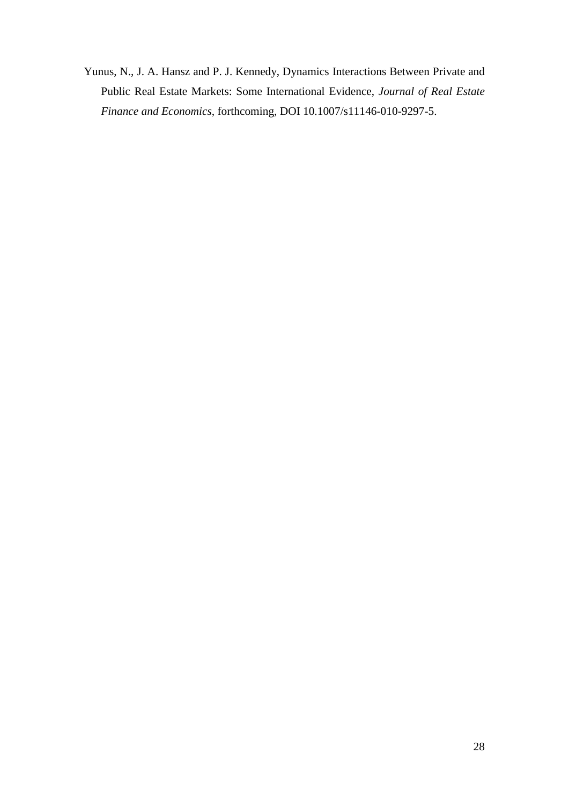Yunus, N., J. A. Hansz and P. J. Kennedy, Dynamics Interactions Between Private and Public Real Estate Markets: Some International Evidence, *Journal of Real Estate Finance and Economics*, forthcoming, DOI 10.1007/s11146-010-9297-5.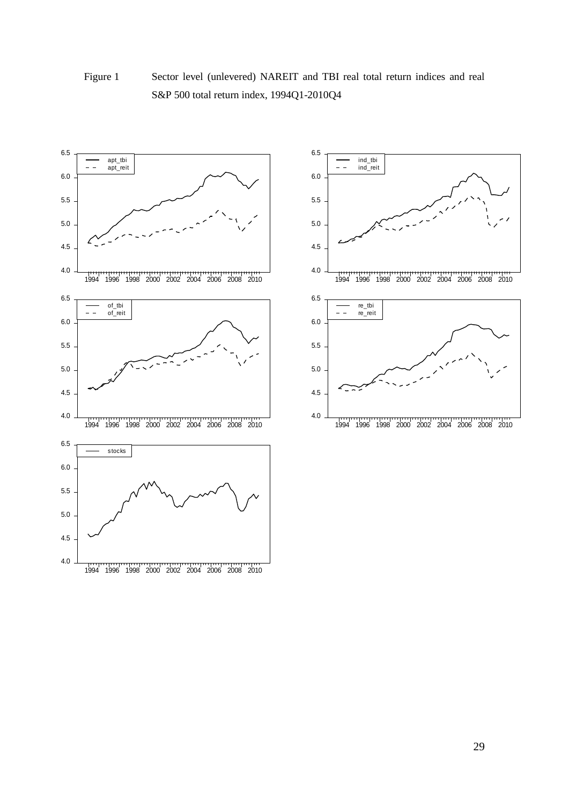

# Figure 1 Sector level (unlevered) NAREIT and TBI real total return indices and real S&P 500 total return index, 1994Q1-2010Q4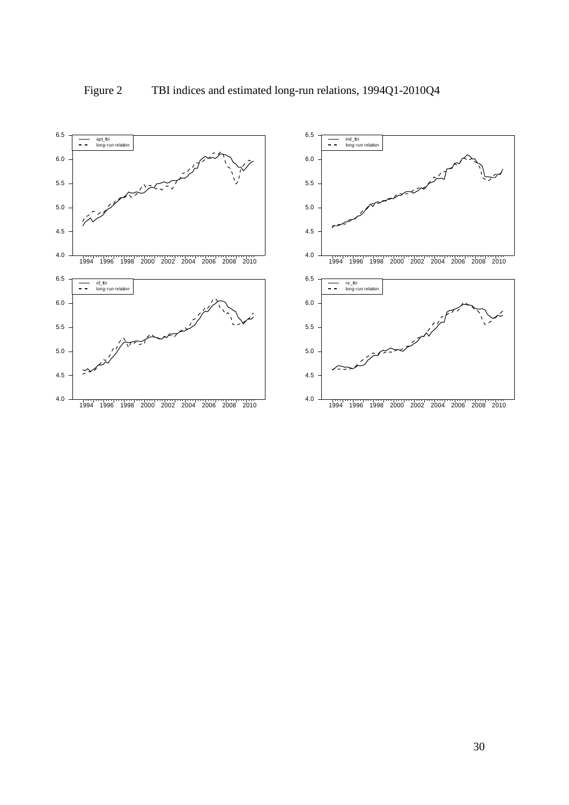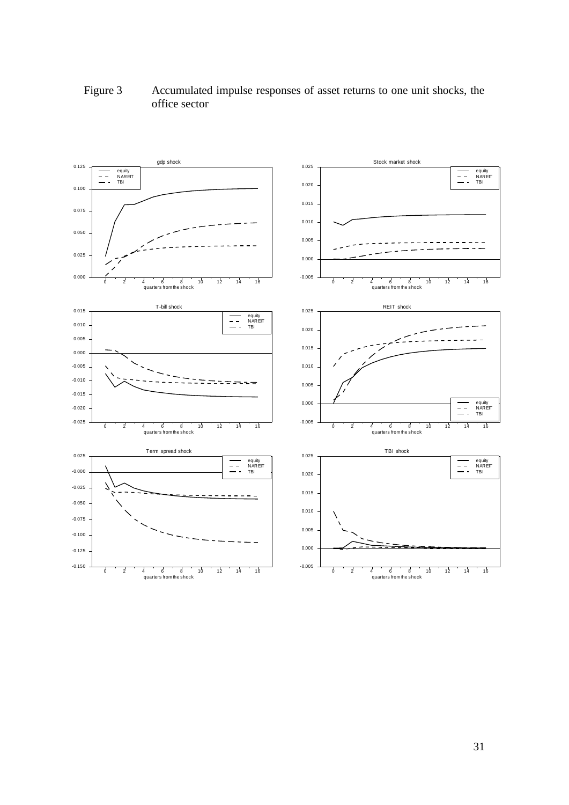

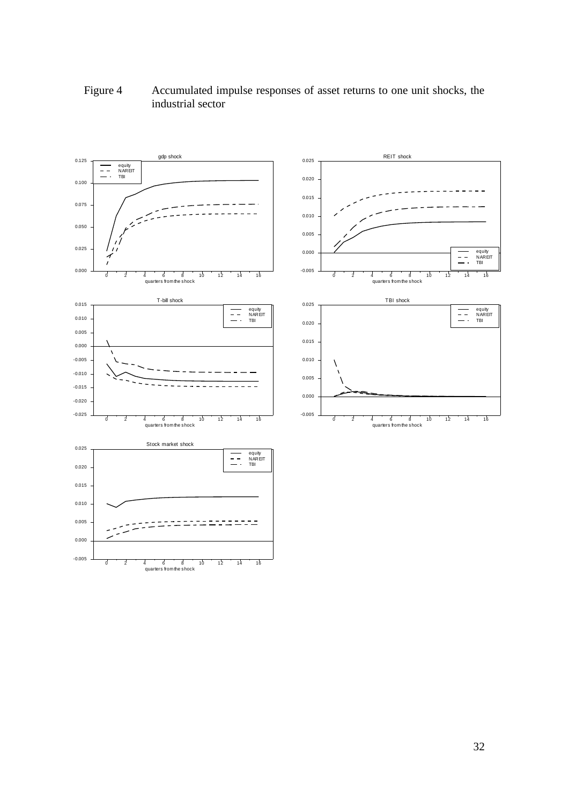# Figure 4 Accumulated impulse responses of asset returns to one unit shocks, the industrial sector

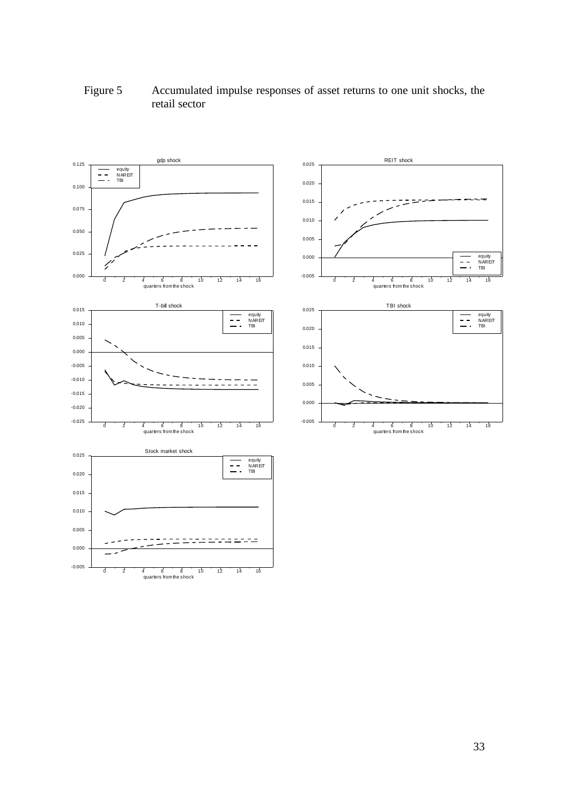# Figure 5 Accumulated impulse responses of asset returns to one unit shocks, the retail sector

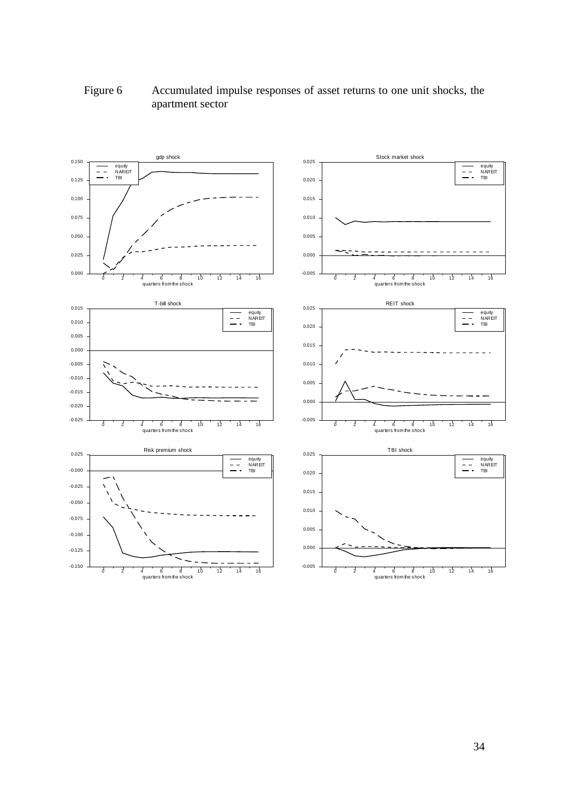# Figure 6 Accumulated impulse responses of asset returns to one unit shocks, the apartment sector